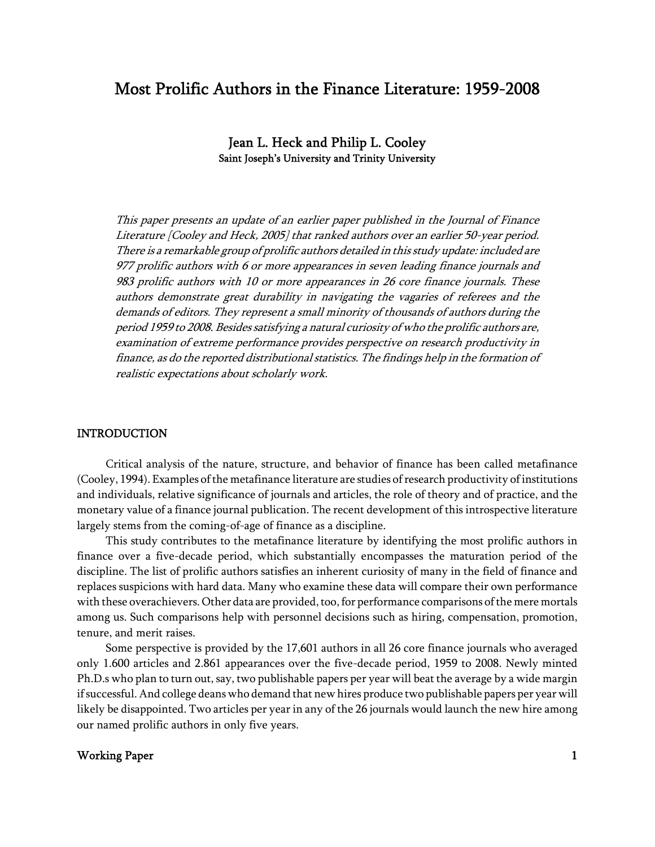# Most Prolific Authors in the Finance Literature: 1959-2008

Jean L. Heck and Philip L. Cooley Saint Joseph's University and Trinity University

This paper presents an update of an earlier paper published in the Journal of Finance Literature [Cooley and Heck, 2005] that ranked authors over an earlier 50-year period. There is a remarkable group of prolific authors detailed in this study update: included are 977 prolific authors with 6 or more appearances in seven leading finance journals and 983 prolific authors with 10 or more appearances in 26 core finance journals. These authors demonstrate great durability in navigating the vagaries of referees and the demands of editors. They represent a small minority of thousands of authors during the period 1959 to 2008. Besides satisfying a natural curiosity of who the prolific authors are, examination of extreme performance provides perspective on research productivity in finance, as do the reported distributional statistics. The findings help in the formation of realistic expectations about scholarly work.

#### **INTRODUCTION**

Critical analysis of the nature, structure, and behavior of finance has been called metafinance (Cooley, 1994). Examples of the metafinance literature are studies of research productivity of institutions and individuals, relative significance of journals and articles, the role of theory and of practice, and the monetary value of a finance journal publication. The recent development of this introspective literature largely stems from the coming-of-age of finance as a discipline.

This study contributes to the metafinance literature by identifying the most prolific authors in finance over a five-decade period, which substantially encompasses the maturation period of the discipline. The list of prolific authors satisfies an inherent curiosity of many in the field of finance and replaces suspicions with hard data. Many who examine these data will compare their own performance with these overachievers. Other data are provided, too, for performance comparisons of the mere mortals among us. Such comparisons help with personnel decisions such as hiring, compensation, promotion, tenure, and merit raises.

Some perspective is provided by the 17,601 authors in all 26 core finance journals who averaged only 1.600 articles and 2.861 appearances over the five-decade period, 1959 to 2008. Newly minted Ph.D.s who plan to turn out, say, two publishable papers per year will beat the average by a wide margin if successful. And college deans who demand that new hires produce two publishable papers per year will likely be disappointed. Two articles per year in any of the 26 journals would launch the new hire among our named prolific authors in only five years.

### Working Paper 2012 12:00 12:00 12:00 12:00 12:00 12:00 12:00 12:00 12:00 12:00 12:00 12:00 12:00 12:00 12:00 12:00 12:00 12:00 12:00 12:00 12:00 12:00 12:00 12:00 12:00 12:00 12:00 12:00 12:00 12:00 12:00 12:00 12:00 12:00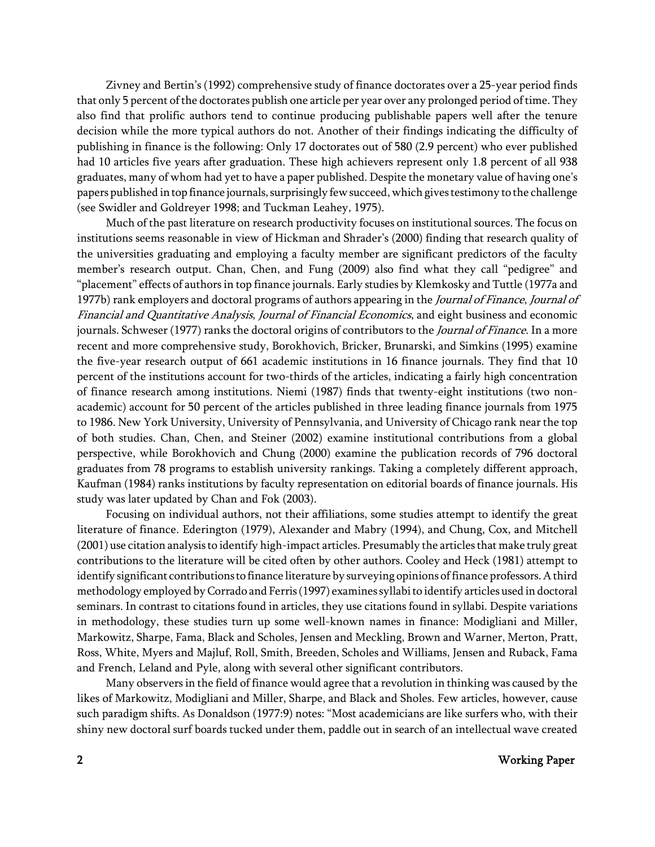Zivney and Bertin's (1992) comprehensive study of finance doctorates over a 25-year period finds that only 5 percent of the doctorates publish one article per year over any prolonged period of time. They also find that prolific authors tend to continue producing publishable papers well after the tenure decision while the more typical authors do not. Another of their findings indicating the difficulty of publishing in finance is the following: Only 17 doctorates out of 580 (2.9 percent) who ever published had 10 articles five years after graduation. These high achievers represent only 1.8 percent of all 938 graduates, many of whom had yet to have a paper published. Despite the monetary value of having one's papers published in top finance journals, surprisingly few succeed, which gives testimony to the challenge (see Swidler and Goldreyer 1998; and Tuckman Leahey, 1975).

Much of the past literature on research productivity focuses on institutional sources. The focus on institutions seems reasonable in view of Hickman and Shrader's (2000) finding that research quality of the universities graduating and employing a faculty member are significant predictors of the faculty member's research output. Chan, Chen, and Fung (2009) also find what they call "pedigree" and "placement" effects of authors in top finance journals. Early studies by Klemkosky and Tuttle (1977a and 1977b) rank employers and doctoral programs of authors appearing in the Journal of Finance, Journal of Financial and Quantitative Analysis, Journal of Financial Economics, and eight business and economic journals. Schweser (1977) ranks the doctoral origins of contributors to the *Journal of Finance*. In a more recent and more comprehensive study, Borokhovich, Bricker, Brunarski, and Simkins (1995) examine the five-year research output of 661 academic institutions in 16 finance journals. They find that 10 percent of the institutions account for two-thirds of the articles, indicating a fairly high concentration of finance research among institutions. Niemi (1987) finds that twenty-eight institutions (two nonacademic) account for 50 percent of the articles published in three leading finance journals from 1975 to 1986. New York University, University of Pennsylvania, and University of Chicago rank near the top of both studies. Chan, Chen, and Steiner (2002) examine institutional contributions from a global perspective, while Borokhovich and Chung (2000) examine the publication records of 796 doctoral graduates from 78 programs to establish university rankings. Taking a completely different approach, Kaufman (1984) ranks institutions by faculty representation on editorial boards of finance journals. His study was later updated by Chan and Fok (2003).

Focusing on individual authors, not their affiliations, some studies attempt to identify the great literature of finance. Ederington (1979), Alexander and Mabry (1994), and Chung, Cox, and Mitchell (2001) use citation analysis to identify high-impact articles. Presumably the articles that make truly great contributions to the literature will be cited often by other authors. Cooley and Heck (1981) attempt to identify significant contributions to finance literature by surveying opinions of finance professors. A third methodology employed by Corrado and Ferris (1997) examines syllabi to identify articles used in doctoral seminars. In contrast to citations found in articles, they use citations found in syllabi. Despite variations in methodology, these studies turn up some well-known names in finance: Modigliani and Miller, Markowitz, Sharpe, Fama, Black and Scholes, Jensen and Meckling, Brown and Warner, Merton, Pratt, Ross, White, Myers and Majluf, Roll, Smith, Breeden, Scholes and Williams, Jensen and Ruback, Fama and French, Leland and Pyle, along with several other significant contributors.

Many observers in the field of finance would agree that a revolution in thinking was caused by the likes of Markowitz, Modigliani and Miller, Sharpe, and Black and Sholes. Few articles, however, cause such paradigm shifts. As Donaldson (1977:9) notes: "Most academicians are like surfers who, with their shiny new doctoral surf boards tucked under them, paddle out in search of an intellectual wave created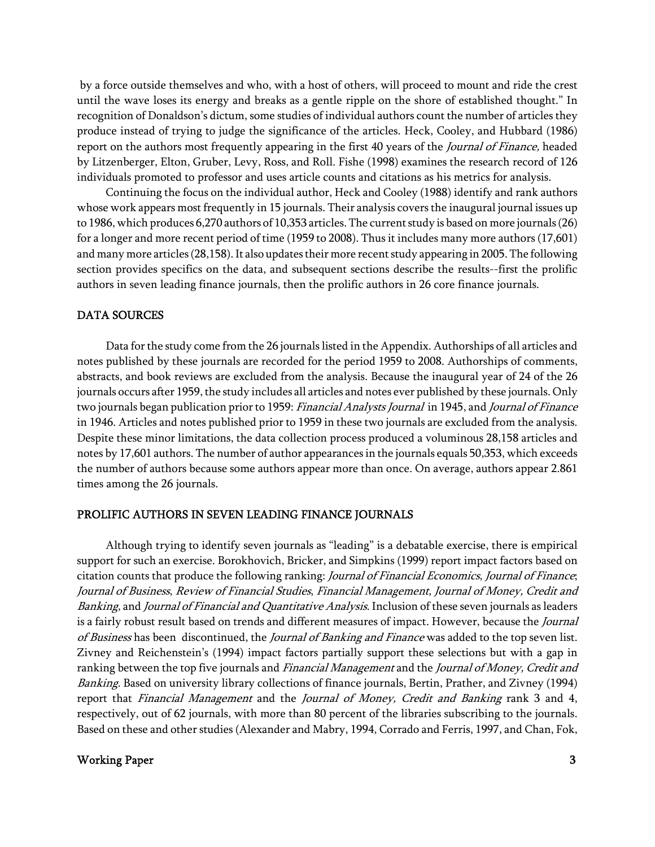by a force outside themselves and who, with a host of others, will proceed to mount and ride the crest until the wave loses its energy and breaks as a gentle ripple on the shore of established thought." In recognition of Donaldson's dictum, some studies of individual authors count the number of articles they produce instead of trying to judge the significance of the articles. Heck, Cooley, and Hubbard (1986) report on the authors most frequently appearing in the first 40 years of the Journal of Finance, headed by Litzenberger, Elton, Gruber, Levy, Ross, and Roll. Fishe (1998) examines the research record of 126 individuals promoted to professor and uses article counts and citations as his metrics for analysis.

Continuing the focus on the individual author, Heck and Cooley (1988) identify and rank authors whose work appears most frequently in 15 journals. Their analysis covers the inaugural journal issues up to 1986, which produces 6,270 authors of 10,353 articles. The current study is based on more journals (26) for a longer and more recent period of time (1959 to 2008). Thus it includes many more authors (17,601) and many more articles (28,158). It also updates their more recent study appearing in 2005. The following section provides specifics on the data, and subsequent sections describe the results--first the prolific authors in seven leading finance journals, then the prolific authors in 26 core finance journals.

### DATA SOURCES

Data for the study come from the 26 journals listed in the Appendix. Authorships of all articles and notes published by these journals are recorded for the period 1959 to 2008. Authorships of comments, abstracts, and book reviews are excluded from the analysis. Because the inaugural year of 24 of the 26 journals occurs after 1959, the study includes all articles and notes ever published by these journals. Only two journals began publication prior to 1959: *Financial Analysts Journal* in 1945, and *Journal of Finance* in 1946. Articles and notes published prior to 1959 in these two journals are excluded from the analysis. Despite these minor limitations, the data collection process produced a voluminous 28,158 articles and notes by 17,601 authors. The number of author appearances in the journals equals 50,353, which exceeds the number of authors because some authors appear more than once. On average, authors appear 2.861 times among the 26 journals.

#### PROLIFIC AUTHORS IN SEVEN LEADING FINANCE JOURNALS

Although trying to identify seven journals as "leading" is a debatable exercise, there is empirical support for such an exercise. Borokhovich, Bricker, and Simpkins (1999) report impact factors based on citation counts that produce the following ranking: Journal of Financial Economics, Journal of Finance; Journal of Business, Review of Financial Studies, Financial Management, Journal of Money, Credit and Banking, and Journal of Financial and Quantitative Analysis. Inclusion of these seven journals as leaders is a fairly robust result based on trends and different measures of impact. However, because the Journal of Business has been discontinued, the Journal of Banking and Finance was added to the top seven list. Zivney and Reichenstein's (1994) impact factors partially support these selections but with a gap in ranking between the top five journals and *Financial Management* and the *Journal of Money, Credit and* Banking. Based on university library collections of finance journals, Bertin, Prather, and Zivney (1994) report that Financial Management and the Journal of Money, Credit and Banking rank 3 and 4, respectively, out of 62 journals, with more than 80 percent of the libraries subscribing to the journals. Based on these and other studies (Alexander and Mabry, 1994, Corrado and Ferris, 1997, and Chan, Fok,

### Working Paper 3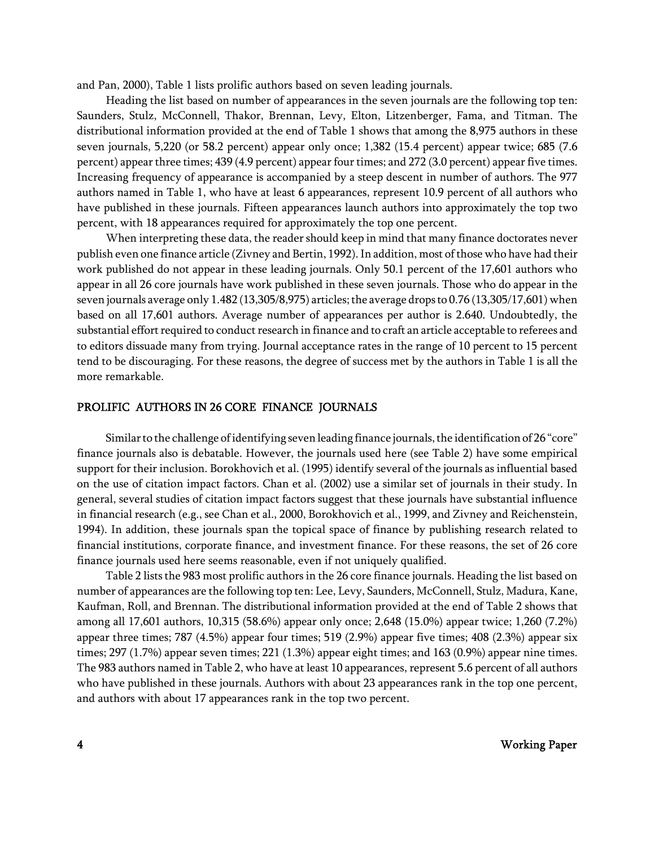and Pan, 2000), Table 1 lists prolific authors based on seven leading journals.

Heading the list based on number of appearances in the seven journals are the following top ten: Saunders, Stulz, McConnell, Thakor, Brennan, Levy, Elton, Litzenberger, Fama, and Titman. The distributional information provided at the end of Table 1 shows that among the 8,975 authors in these seven journals, 5,220 (or 58.2 percent) appear only once; 1,382 (15.4 percent) appear twice; 685 (7.6 percent) appear three times; 439 (4.9 percent) appear four times; and 272 (3.0 percent) appear five times. Increasing frequency of appearance is accompanied by a steep descent in number of authors. The 977 authors named in Table 1, who have at least 6 appearances, represent 10.9 percent of all authors who have published in these journals. Fifteen appearances launch authors into approximately the top two percent, with 18 appearances required for approximately the top one percent.

When interpreting these data, the reader should keep in mind that many finance doctorates never publish even one finance article (Zivney and Bertin, 1992). In addition, most of those who have had their work published do not appear in these leading journals. Only 50.1 percent of the 17,601 authors who appear in all 26 core journals have work published in these seven journals. Those who do appear in the seven journals average only 1.482 (13,305/8,975) articles; the average drops to 0.76 (13,305/17,601) when based on all 17,601 authors. Average number of appearances per author is 2.640. Undoubtedly, the substantial effort required to conduct research in finance and to craft an article acceptable to referees and to editors dissuade many from trying. Journal acceptance rates in the range of 10 percent to 15 percent tend to be discouraging. For these reasons, the degree of success met by the authors in Table 1 is all the more remarkable.

### PROLIFIC AUTHORS IN 26 CORE FINANCE JOURNALS

Similar to the challenge of identifying seven leading finance journals, the identification of 26 "core" finance journals also is debatable. However, the journals used here (see Table 2) have some empirical support for their inclusion. Borokhovich et al. (1995) identify several of the journals as influential based on the use of citation impact factors. Chan et al. (2002) use a similar set of journals in their study. In general, several studies of citation impact factors suggest that these journals have substantial influence in financial research (e.g., see Chan et al., 2000, Borokhovich et al., 1999, and Zivney and Reichenstein, 1994). In addition, these journals span the topical space of finance by publishing research related to financial institutions, corporate finance, and investment finance. For these reasons, the set of 26 core finance journals used here seems reasonable, even if not uniquely qualified.

Table 2 lists the 983 most prolific authors in the 26 core finance journals. Heading the list based on number of appearances are the following top ten: Lee, Levy, Saunders, McConnell, Stulz, Madura, Kane, Kaufman, Roll, and Brennan. The distributional information provided at the end of Table 2 shows that among all 17,601 authors, 10,315 (58.6%) appear only once; 2,648 (15.0%) appear twice; 1,260 (7.2%) appear three times; 787 (4.5%) appear four times; 519 (2.9%) appear five times; 408 (2.3%) appear six times; 297 (1.7%) appear seven times; 221 (1.3%) appear eight times; and 163 (0.9%) appear nine times. The 983 authors named in Table 2, who have at least 10 appearances, represent 5.6 percent of all authors who have published in these journals. Authors with about 23 appearances rank in the top one percent, and authors with about 17 appearances rank in the top two percent.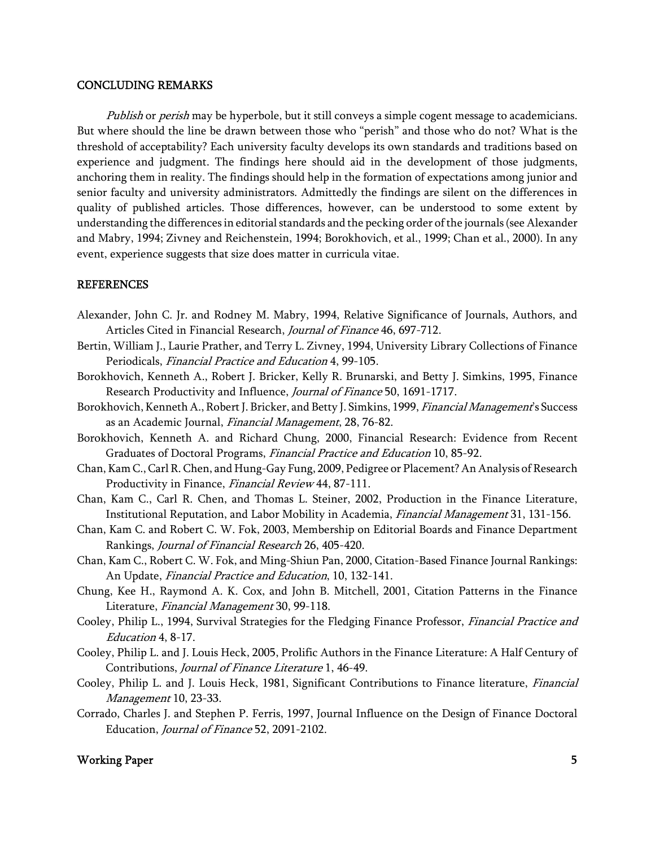#### CONCLUDING REMARKS

Publish or perish may be hyperbole, but it still conveys a simple cogent message to academicians. But where should the line be drawn between those who "perish" and those who do not? What is the threshold of acceptability? Each university faculty develops its own standards and traditions based on experience and judgment. The findings here should aid in the development of those judgments, anchoring them in reality. The findings should help in the formation of expectations among junior and senior faculty and university administrators. Admittedly the findings are silent on the differences in quality of published articles. Those differences, however, can be understood to some extent by understanding the differences in editorial standards and the pecking order of the journals (see Alexander and Mabry, 1994; Zivney and Reichenstein, 1994; Borokhovich, et al., 1999; Chan et al., 2000). In any event, experience suggests that size does matter in curricula vitae.

#### REFERENCES

- Alexander, John C. Jr. and Rodney M. Mabry, 1994, Relative Significance of Journals, Authors, and Articles Cited in Financial Research, Journal of Finance 46, 697-712.
- Bertin, William J., Laurie Prather, and Terry L. Zivney, 1994, University Library Collections of Finance Periodicals, Financial Practice and Education 4, 99-105.
- Borokhovich, Kenneth A., Robert J. Bricker, Kelly R. Brunarski, and Betty J. Simkins, 1995, Finance Research Productivity and Influence, Journal of Finance 50, 1691-1717.
- Borokhovich, Kenneth A., Robert J. Bricker, and Betty J. Simkins, 1999, *Financial Management's* Success as an Academic Journal, Financial Management, 28, 76-82.
- Borokhovich, Kenneth A. and Richard Chung, 2000, Financial Research: Evidence from Recent Graduates of Doctoral Programs, Financial Practice and Education 10, 85-92.
- Chan, Kam C., Carl R. Chen, and Hung-Gay Fung, 2009, Pedigree or Placement? An Analysis of Research Productivity in Finance, Financial Review 44, 87-111.
- Chan, Kam C., Carl R. Chen, and Thomas L. Steiner, 2002, Production in the Finance Literature, Institutional Reputation, and Labor Mobility in Academia, Financial Management 31, 131-156.
- Chan, Kam C. and Robert C. W. Fok, 2003, Membership on Editorial Boards and Finance Department Rankings, Journal of Financial Research 26, 405-420.
- Chan, Kam C., Robert C. W. Fok, and Ming-Shiun Pan, 2000, Citation-Based Finance Journal Rankings: An Update, Financial Practice and Education, 10, 132-141.
- Chung, Kee H., Raymond A. K. Cox, and John B. Mitchell, 2001, Citation Patterns in the Finance Literature, Financial Management 30, 99-118.
- Cooley, Philip L., 1994, Survival Strategies for the Fledging Finance Professor, *Financial Practice and* Education 4, 8-17.
- Cooley, Philip L. and J. Louis Heck, 2005, Prolific Authors in the Finance Literature: A Half Century of Contributions, Journal of Finance Literature 1, 46-49.
- Cooley, Philip L. and J. Louis Heck, 1981, Significant Contributions to Finance literature, Financial Management 10, 23-33.
- Corrado, Charles J. and Stephen P. Ferris, 1997, Journal Influence on the Design of Finance Doctoral Education, Journal of Finance 52, 2091-2102.

### Working Paper 5 and 2008 and 2008 and 2008 and 2008 and 2008 and 2008 and 2008 and 2008 and 2008 and 2008 and 2008 and 2008 and 2008 and 2008 and 2008 and 2008 and 2008 and 2008 and 2008 and 2008 and 2008 and 2008 and 2008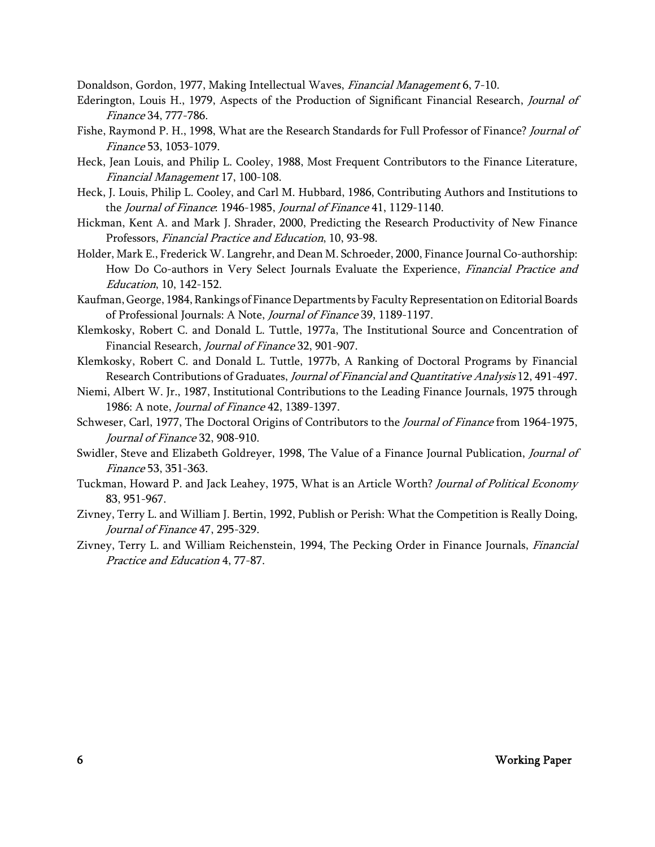Donaldson, Gordon, 1977, Making Intellectual Waves, Financial Management 6, 7-10.

- Ederington, Louis H., 1979, Aspects of the Production of Significant Financial Research, Journal of Finance 34, 777-786.
- Fishe, Raymond P. H., 1998, What are the Research Standards for Full Professor of Finance? Journal of Finance 53, 1053-1079.
- Heck, Jean Louis, and Philip L. Cooley, 1988, Most Frequent Contributors to the Finance Literature, Financial Management 17, 100-108.
- Heck, J. Louis, Philip L. Cooley, and Carl M. Hubbard, 1986, Contributing Authors and Institutions to the Journal of Finance: 1946-1985, Journal of Finance 41, 1129-1140.
- Hickman, Kent A. and Mark J. Shrader, 2000, Predicting the Research Productivity of New Finance Professors, Financial Practice and Education, 10, 93-98.
- Holder, Mark E., Frederick W. Langrehr, and Dean M. Schroeder, 2000, Finance Journal Co-authorship: How Do Co-authors in Very Select Journals Evaluate the Experience, Financial Practice and Education, 10, 142-152.
- Kaufman, George, 1984, Rankings of Finance Departments by Faculty Representation on Editorial Boards of Professional Journals: A Note, Journal of Finance 39, 1189-1197.
- Klemkosky, Robert C. and Donald L. Tuttle, 1977a, The Institutional Source and Concentration of Financial Research, Journal of Finance 32, 901-907.
- Klemkosky, Robert C. and Donald L. Tuttle, 1977b, A Ranking of Doctoral Programs by Financial Research Contributions of Graduates, Journal of Financial and Quantitative Analysis 12, 491-497.
- Niemi, Albert W. Jr., 1987, Institutional Contributions to the Leading Finance Journals, 1975 through 1986: A note, Journal of Finance 42, 1389-1397.
- Schweser, Carl, 1977, The Doctoral Origins of Contributors to the *Journal of Finance* from 1964-1975, Journal of Finance 32, 908-910.
- Swidler, Steve and Elizabeth Goldreyer, 1998, The Value of a Finance Journal Publication, Journal of Finance 53, 351-363.
- Tuckman, Howard P. and Jack Leahey, 1975, What is an Article Worth? Journal of Political Economy 83, 951-967.
- Zivney, Terry L. and William J. Bertin, 1992, Publish or Perish: What the Competition is Really Doing, Journal of Finance 47, 295-329.
- Zivney, Terry L. and William Reichenstein, 1994, The Pecking Order in Finance Journals, *Financial* Practice and Education 4, 77-87.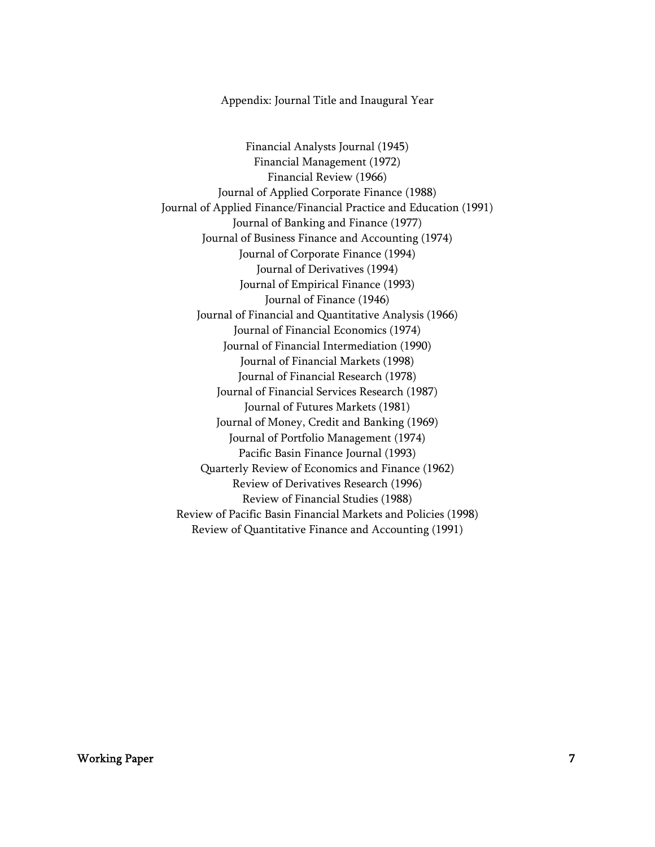### Appendix: Journal Title and Inaugural Year

Financial Analysts Journal (1945) Financial Management (1972) Financial Review (1966) Journal of Applied Corporate Finance (1988) Journal of Applied Finance/Financial Practice and Education (1991) Journal of Banking and Finance (1977) Journal of Business Finance and Accounting (1974) Journal of Corporate Finance (1994) Journal of Derivatives (1994) Journal of Empirical Finance (1993) Journal of Finance (1946) Journal of Financial and Quantitative Analysis (1966) Journal of Financial Economics (1974) Journal of Financial Intermediation (1990) Journal of Financial Markets (1998) Journal of Financial Research (1978) Journal of Financial Services Research (1987) Journal of Futures Markets (1981) Journal of Money, Credit and Banking (1969) Journal of Portfolio Management (1974) Pacific Basin Finance Journal (1993) Quarterly Review of Economics and Finance (1962) Review of Derivatives Research (1996) Review of Financial Studies (1988) Review of Pacific Basin Financial Markets and Policies (1998) Review of Quantitative Finance and Accounting (1991)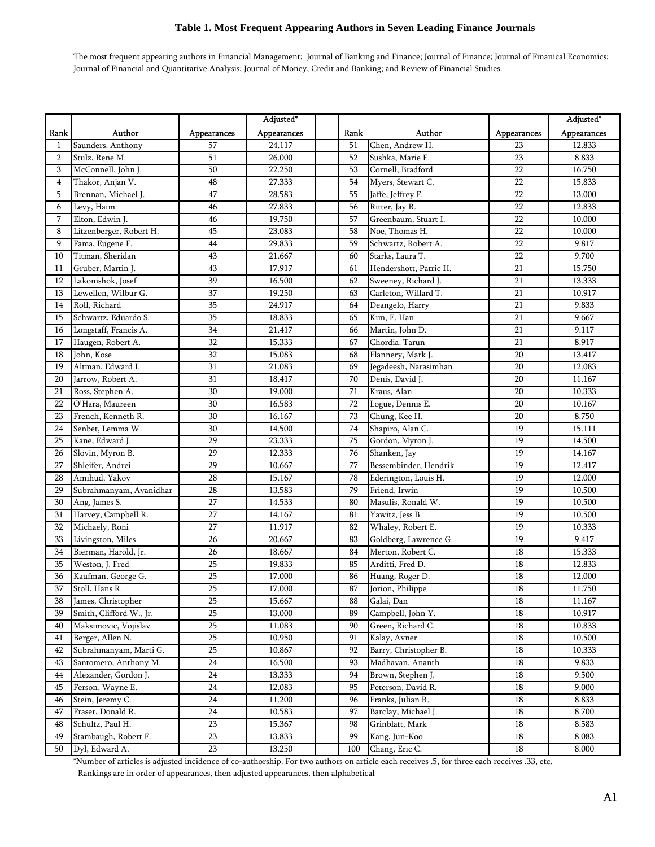The most frequent appearing authors in Financial Management; Journal of Banking and Finance; Journal of Finance; Journal of Finanical Economics; Journal of Financial and Quantitative Analysis; Journal of Money, Credit and Banking; and Review of Financial Studies.

|                 |                         |                 | Adjusted*   |                 |                        |                 | Adjusted*   |
|-----------------|-------------------------|-----------------|-------------|-----------------|------------------------|-----------------|-------------|
| Rank            | Author                  | Appearances     | Appearances | Rank            | Author                 | Appearances     | Appearances |
| 1               | Saunders, Anthony       | 57              | 24.117      | 51              | Chen, Andrew H.        | 23              | 12.833      |
| 2               | Stulz, Rene M.          | 51              | 26.000      | 52              | Sushka, Marie E.       | 23              | 8.833       |
| 3               | McConnell, John J.      | 50              | 22.250      | 53              | Cornell, Bradford      | 22              | 16.750      |
| $\overline{4}$  | Thakor, Anjan V.        | 48              | 27.333      | $\overline{54}$ | Myers, Stewart C.      | $\overline{22}$ | 15.833      |
| 5               | Brennan, Michael J.     | 47              | 28.583      | 55              | Jaffe, Jeffrey F.      | 22              | 13.000      |
| 6               | Levy, Haim              | 46              | 27.833      | 56              | Ritter, Jay R.         | 22              | 12.833      |
| 7               | Elton, Edwin J.         | 46              | 19.750      | 57              | Greenbaum, Stuart I.   | 22              | 10.000      |
| 8               | Litzenberger, Robert H. | 45              | 23.083      | 58              | Noe, Thomas H.         | 22              | 10.000      |
| 9               | Fama, Eugene F.         | 44              | 29.833      | 59              | Schwartz, Robert A.    | 22              | 9.817       |
| 10              | Titman, Sheridan        | 43              | 21.667      | 60              | Starks, Laura T.       | 22              | 9.700       |
| 11              | Gruber, Martin J.       | 43              | 17.917      | 61              | Hendershott, Patric H. | 21              | 15.750      |
| 12              | Lakonishok, Josef       | $\overline{39}$ | 16.500      | 62              | Sweeney, Richard J.    | 21              | 13.333      |
| 13              | Lewellen, Wilbur G.     | 37              | 19.250      | 63              | Carleton, Willard T.   | 21              | 10.917      |
| 14              | Roll, Richard           | 35              | 24.917      | 64              | Deangelo, Harry        | 21              | 9.833       |
| 15              | Schwartz, Eduardo S.    | 35              | 18.833      | 65              | Kim, E. Han            | 21              | 9.667       |
| 16              | Longstaff, Francis A.   | 34              | 21.417      | 66              | Martin, John D.        | 21              | 9.117       |
| 17              | Haugen, Robert A.       | 32              | 15.333      | 67              | Chordia, Tarun         | 21              | 8.917       |
| 18              | John, Kose              | 32              | 15.083      | 68              | Flannery, Mark J.      | 20              | 13.417      |
| 19              | Altman, Edward I.       | 31              | 21.083      | 69              | Jegadeesh, Narasimhan  | 20              | 12.083      |
| 20              | Jarrow, Robert A.       | 31              | 18.417      | 70              | Denis, David J.        | 20              | 11.167      |
| 21              | Ross, Stephen A.        | 30              | 19.000      | 71              | Kraus, Alan            | 20              | 10.333      |
| 22              | O'Hara, Maureen         | 30              | 16.583      | 72              | Logue, Dennis E.       | 20              | 10.167      |
| 23              | French, Kenneth R.      | 30              | 16.167      | 73              | Chung, Kee H.          | 20              | 8.750       |
| 24              | Senbet, Lemma W.        | 30              | 14.500      | 74              | Shapiro, Alan C.       | 19              | 15.111      |
| 25              | Kane, Edward J.         | 29              | 23.333      | 75              | Gordon, Myron J.       | 19              | 14.500      |
| 26              | Slovin, Myron B.        | 29              | 12.333      | 76              | Shanken, Jay           | $\overline{19}$ | 14.167      |
| 27              | Shleifer, Andrei        | 29              | 10.667      | 77              | Bessembinder, Hendrik  | 19              | 12.417      |
| 28              | Amihud, Yakov           | 28              | 15.167      | 78              | Ederington, Louis H.   | 19              | 12.000      |
| 29              | Subrahmanyam, Avanidhar | $\overline{28}$ | 13.583      | 79              | Friend, Irwin          | $\overline{19}$ | 10.500      |
| 30              | Ang, James S.           | 27              | 14.533      | 80              | Masulis, Ronald W.     | 19              | 10.500      |
| 31              | Harvey, Campbell R.     | 27              | 14.167      | 81              | Yawitz, Jess B.        | 19              | 10.500      |
| 32              | Michaely, Roni          | 27              | 11.917      | 82              | Whaley, Robert E.      | 19              | 10.333      |
| 33              | Livingston, Miles       | 26              | 20.667      | 83              | Goldberg, Lawrence G.  | $\overline{19}$ | 9.417       |
| 34              | Bierman, Harold, Jr.    | 26              | 18.667      | 84              | Merton, Robert C.      | 18              | 15.333      |
| 35              | Weston, J. Fred         | 25              | 19.833      | 85              | Arditti, Fred D.       | 18              | 12.833      |
| 36              | Kaufman, George G.      | 25              | 17.000      | 86              | Huang, Roger D.        | 18              | 12.000      |
| $\overline{37}$ | Stoll, Hans R.          | $\overline{25}$ | 17.000      | 87              | Jorion, Philippe       | $\overline{18}$ | 11.750      |
| 38              | James, Christopher      | 25              | 15.667      | 88              | Galai, Dan             | 18              | 11.167      |
| 39              | Smith, Clifford W., Jr. | 25              | 13.000      | 89              | Campbell, John Y.      | 18              | 10.917      |
| 40              | Maksimovic, Vojislav    | 25              | 11.083      | 90              | Green, Richard C.      | $\overline{18}$ | 10.833      |
| 41              | Berger, Allen N.        | $\overline{25}$ | 10.950      | 91              | Kalay, Avner           | $\overline{18}$ | 10.500      |
| 42              | Subrahmanyam, Marti G.  | 25              | 10.867      | 92              | Barry, Christopher B.  | $18\,$          | 10.333      |
| 43              | Santomero, Anthony M.   | 24              | 16.500      | 93              | Madhavan, Ananth       | 18              | 9.833       |
| 44              | Alexander, Gordon J.    | 24              | 13.333      | 94              | Brown, Stephen J.      | 18              | 9.500       |
| 45              | Ferson, Wayne E.        | 24              | 12.083      | 95              | Peterson, David R.     | 18              | 9.000       |
| 46              | Stein, Jeremy C.        | 24              | 11.200      | 96              | Franks, Julian R.      | 18              | 8.833       |
| 47              | Fraser, Donald R.       | 24              | 10.583      | 97              | Barclay, Michael J.    | 18              | 8.700       |
| 48              | Schultz, Paul H.        | 23              | 15.367      | 98              | Grinblatt, Mark        | 18              | 8.583       |
| 49              | Stambaugh, Robert F.    | $23\,$          | 13.833      | 99              | Kang, Jun-Koo          | 18              | 8.083       |
| 50              | Dyl, Edward A.          | $\overline{23}$ | 13.250      | 100             | Chang, Eric C.         | $18\,$          | 8.000       |

\*Number of articles is adjusted incidence of co-authorship. For two authors on article each receives .5, for three each receives .33, etc.

Rankings are in order of appearances, then adjusted appearances, then alphabetical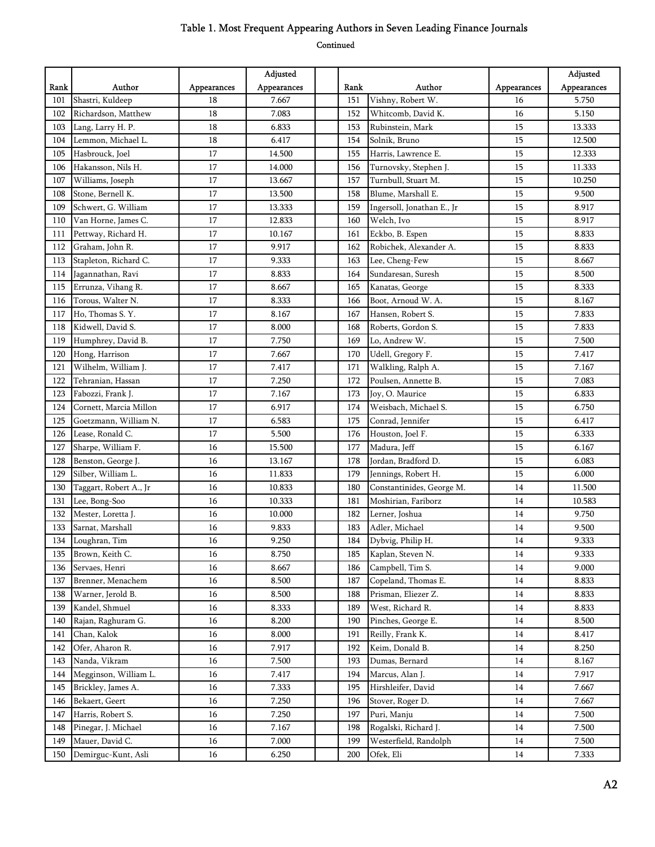|      |                        |             | Adjusted    |      |                            |             | Adjusted    |
|------|------------------------|-------------|-------------|------|----------------------------|-------------|-------------|
| Rank | Author                 | Appearances | Appearances | Rank | Author                     | Appearances | Appearances |
| 101  | Shastri, Kuldeep       | 18          | 7.667       | 151  | Vishny, Robert W.          | 16          | 5.750       |
| 102  | Richardson, Matthew    | 18          | 7.083       | 152  | Whitcomb, David K.         | 16          | 5.150       |
| 103  | Lang, Larry H. P.      | 18          | 6.833       | 153  | Rubinstein, Mark           | 15          | 13.333      |
| 104  | Lemmon, Michael L.     | 18          | 6.417       | 154  | Solnik, Bruno              | 15          | 12.500      |
| 105  | Hasbrouck, Joel        | 17          | 14.500      | 155  | Harris, Lawrence E.        | 15          | 12.333      |
| 106  | Hakansson, Nils H.     | 17          | 14.000      | 156  | Turnovsky, Stephen J.      | 15          | 11.333      |
| 107  | Williams, Joseph       | 17          | 13.667      | 157  | Turnbull, Stuart M.        | 15          | 10.250      |
| 108  | Stone, Bernell K.      | 17          | 13.500      | 158  | Blume, Marshall E.         | 15          | 9.500       |
| 109  | Schwert, G. William    | 17          | 13.333      | 159  | Ingersoll, Jonathan E., Jr | 15          | 8.917       |
| 110  | Van Horne, James C.    | 17          | 12.833      | 160  | Welch, Ivo                 | 15          | 8.917       |
| 111  | Pettway, Richard H.    | 17          | 10.167      | 161  | Eckbo, B. Espen            | 15          | 8.833       |
| 112  | Graham, John R.        | 17          | 9.917       | 162  | Robichek, Alexander A.     | 15          | 8.833       |
| 113  | Stapleton, Richard C.  | 17          | 9.333       | 163  | Lee, Cheng-Few             | 15          | 8.667       |
| 114  | Jagannathan, Ravi      | 17          | 8.833       | 164  | Sundaresan, Suresh         | 15          | 8.500       |
| 115  | Errunza, Vihang R.     | 17          | 8.667       | 165  | Kanatas, George            | 15          | 8.333       |
| 116  | Torous, Walter N.      | 17          | 8.333       | 166  | Boot, Arnoud W. A.         | 15          | 8.167       |
| 117  | Ho, Thomas S.Y.        | 17          | 8.167       | 167  | Hansen, Robert S.          | 15          | 7.833       |
| 118  | Kidwell, David S.      | 17          | 8.000       | 168  | Roberts, Gordon S.         | 15          | 7.833       |
| 119  | Humphrey, David B.     | 17          | 7.750       | 169  | Lo, Andrew W.              | 15          | 7.500       |
| 120  | Hong, Harrison         | 17          | 7.667       | 170  | Udell, Gregory F.          | 15          | 7.417       |
| 121  | Wilhelm, William J.    | 17          | 7.417       | 171  | Walkling, Ralph A.         | 15          | 7.167       |
| 122  | Tehranian, Hassan      | 17          | 7.250       | 172  | Poulsen, Annette B.        | 15          | 7.083       |
| 123  | Fabozzi, Frank J.      | 17          | 7.167       | 173  | Joy, O. Maurice            | 15          | 6.833       |
| 124  | Cornett, Marcia Millon | 17          | 6.917       | 174  | Weisbach, Michael S.       | 15          | 6.750       |
| 125  | Goetzmann, William N.  | 17          | 6.583       | 175  | Conrad, Jennifer           | 15          | 6.417       |
| 126  | Lease, Ronald C.       | 17          | 5.500       | 176  | Houston, Joel F.           | 15          | 6.333       |
| 127  | Sharpe, William F.     | 16          | 15.500      | 177  | Madura, Jeff               | 15          | 6.167       |
| 128  | Benston, George J.     | 16          | 13.167      | 178  | Jordan, Bradford D.        | 15          | 6.083       |
| 129  | Silber, William L.     | 16          | 11.833      | 179  | Jennings, Robert H.        | 15          | 6.000       |
| 130  | Taggart, Robert A., Jr | 16          | 10.833      | 180  | Constantinides, George M.  | 14          | 11.500      |
| 131  | Lee, Bong-Soo          | 16          | 10.333      | 181  | Moshirian, Fariborz        | 14          | 10.583      |
| 132  | Mester, Loretta J.     | 16          | 10.000      | 182  | Lerner, Joshua             | 14          | 9.750       |
| 133  | Sarnat, Marshall       | 16          | 9.833       | 183  | Adler, Michael             | 14          | 9.500       |
| 134  | Loughran, Tim          | 16          | 9.250       | 184  | Dybvig, Philip H.          | 14          | 9.333       |
| 135  | Brown, Keith C.        | 16          | 8.750       | 185  | Kaplan, Steven N.          | 14          | 9.333       |
| 136  | Servaes, Henri         | 16          | 8.667       | 186  | Campbell, Tim S.           | 14          | 9.000       |
| 137  | Brenner, Menachem      | 16          | 8.500       | 187  | Copeland, Thomas E.        | 14          | 8.833       |
| 138  | Warner, Jerold B.      | 16          | 8.500       | 188  | Prisman, Eliezer Z.        | 14          | 8.833       |
| 139  | Kandel, Shmuel         | 16          | 8.333       | 189  | West, Richard R.           | 14          | 8.833       |
| 140  | Rajan, Raghuram G.     | 16          | 8.200       | 190  | Pinches, George E.         | 14          | 8.500       |
| 141  | Chan, Kalok            | 16          | 8.000       | 191  | Reilly, Frank K.           | 14          | 8.417       |
| 142  | Ofer, Aharon R.        | 16          | 7.917       | 192  | Keim, Donald B.            | 14          | 8.250       |
| 143  | Nanda, Vikram          | 16          | 7.500       | 193  | Dumas, Bernard             | 14          | 8.167       |
| 144  | Megginson, William L.  | 16          | 7.417       | 194  | Marcus, Alan J.            | 14          | 7.917       |
| 145  | Brickley, James A.     | 16          | 7.333       | 195  | Hirshleifer, David         | 14          | 7.667       |
| 146  | Bekaert, Geert         | 16          | 7.250       | 196  | Stover, Roger D.           | 14          | 7.667       |
| 147  | Harris, Robert S.      | 16          | 7.250       | 197  | Puri, Manju                | 14          | 7.500       |
| 148  | Pinegar, J. Michael    | 16          | 7.167       | 198  | Rogalski, Richard J.       | 14          | 7.500       |
| 149  | Mauer, David C.        | 16          | 7.000       | 199  | Westerfield, Randolph      | 14          | 7.500       |
| 150  | Demirguc-Kunt, Asli    | $16\,$      | 6.250       | 200  | Ofek, Eli                  | $14\,$      | 7.333       |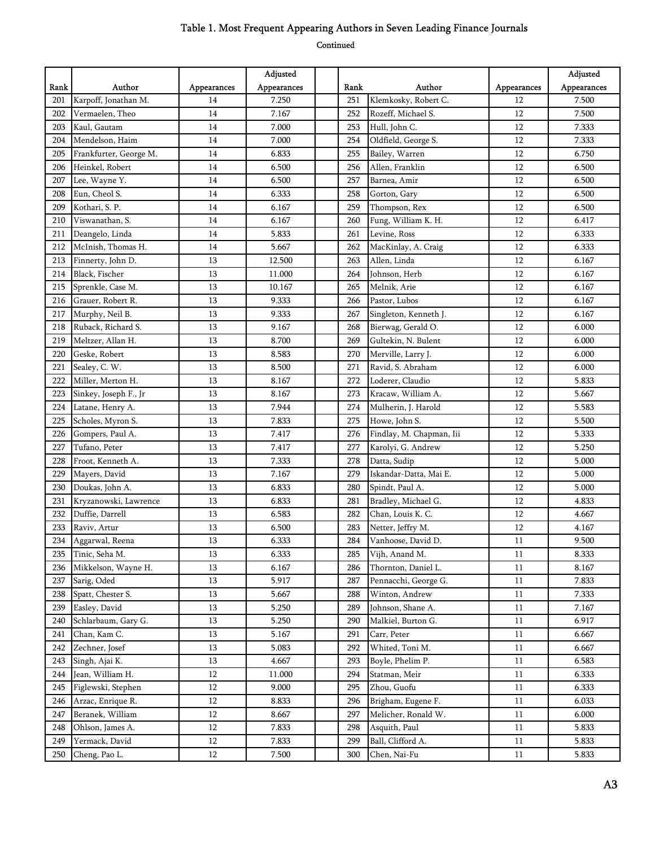|      |                        |             | Adjusted    |      |                          |             | Adjusted    |
|------|------------------------|-------------|-------------|------|--------------------------|-------------|-------------|
| Rank | Author                 | Appearances | Appearances | Rank | Author                   | Appearances | Appearances |
| 201  | Karpoff, Jonathan M.   | 14          | 7.250       | 251  | Klemkosky, Robert C.     | 12          | 7.500       |
| 202  | Vermaelen, Theo        | 14          | 7.167       | 252  | Rozeff, Michael S.       | 12          | 7.500       |
| 203  | Kaul, Gautam           | 14          | 7.000       | 253  | Hull, John C.            | 12          | 7.333       |
| 204  | Mendelson, Haim        | 14          | 7.000       | 254  | Oldfield, George S.      | 12          | 7.333       |
| 205  | Frankfurter, George M. | 14          | 6.833       | 255  | Bailey, Warren           | 12          | 6.750       |
| 206  | Heinkel, Robert        | 14          | 6.500       | 256  | Allen, Franklin          | 12          | 6.500       |
| 207  | Lee, Wayne Y.          | 14          | 6.500       | 257  | Barnea, Amir             | 12          | 6.500       |
| 208  | Eun, Cheol S.          | 14          | 6.333       | 258  | Gorton, Gary             | 12          | 6.500       |
| 209  | Kothari, S. P.         | 14          | 6.167       | 259  | Thompson, Rex            | 12          | 6.500       |
| 210  | Viswanathan, S.        | 14          | 6.167       | 260  | Fung, William K. H.      | 12          | 6.417       |
| 211  | Deangelo, Linda        | 14          | 5.833       | 261  | Levine, Ross             | 12          | 6.333       |
| 212  | McInish, Thomas H.     | 14          | 5.667       | 262  | MacKinlay, A. Craig      | 12          | 6.333       |
| 213  | Finnerty, John D.      | 13          | 12.500      | 263  | Allen, Linda             | 12          | 6.167       |
| 214  | Black, Fischer         | 13          | 11.000      | 264  | Johnson, Herb            | 12          | 6.167       |
| 215  | Sprenkle, Case M.      | 13          | 10.167      | 265  | Melnik, Arie             | 12          | 6.167       |
| 216  | Grauer, Robert R.      | 13          | 9.333       | 266  | Pastor, Lubos            | 12          | 6.167       |
| 217  | Murphy, Neil B.        | 13          | 9.333       | 267  | Singleton, Kenneth J.    | 12          | 6.167       |
| 218  | Ruback, Richard S.     | 13          | 9.167       | 268  | Bierwag, Gerald O.       | 12          | 6.000       |
| 219  | Meltzer, Allan H.      | 13          | 8.700       | 269  | Gultekin, N. Bulent      | 12          | 6.000       |
| 220  | Geske, Robert          | 13          | 8.583       | 270  | Merville, Larry J.       | 12          | 6.000       |
| 221  | Sealey, C. W.          | 13          | 8.500       | 271  | Ravid, S. Abraham        | 12          | 6.000       |
| 222  | Miller, Merton H.      | 13          | 8.167       | 272  | Loderer, Claudio         | 12          | 5.833       |
| 223  | Sinkey, Joseph F., Jr  | 13          | 8.167       | 273  | Kracaw, William A.       | 12          | 5.667       |
| 224  | Latane, Henry A.       | 13          | 7.944       | 274  | Mulherin, J. Harold      | 12          | 5.583       |
| 225  | Scholes, Myron S.      | 13          | 7.833       | 275  | Howe, John S.            | 12          | 5.500       |
| 226  | Gompers, Paul A.       | 13          | 7.417       | 276  | Findlay, M. Chapman, Iii | 12          | 5.333       |
| 227  | Tufano, Peter          | 13          | 7.417       | 277  | Karolyi, G. Andrew       | 12          | 5.250       |
| 228  | Froot, Kenneth A.      | 13          | 7.333       | 278  | Datta, Sudip             | 12          | 5.000       |
| 229  | Mayers, David          | 13          | 7.167       | 279  | Iskandar-Datta, Mai E.   | 12          | 5.000       |
| 230  | Doukas, John A.        | 13          | 6.833       | 280  | Spindt, Paul A.          | 12          | 5.000       |
| 231  | Kryzanowski, Lawrence  | 13          | 6.833       | 281  | Bradley, Michael G.      | 12          | 4.833       |
| 232  | Duffie, Darrell        | 13          | 6.583       | 282  | Chan, Louis K. C.        | 12          | 4.667       |
| 233  | Raviv, Artur           | 13          | 6.500       | 283  | Netter, Jeffry M.        | 12          | 4.167       |
| 234  | Aggarwal, Reena        | 13          | 6.333       | 284  | Vanhoose, David D.       | 11          | 9.500       |
| 235  | Tinic, Seha M.         | 13          | 6.333       | 285  | Vijh, Anand M.           | 11          | 8.333       |
| 236  | Mikkelson, Wayne H.    | 13          | 6.167       | 286  | Thornton, Daniel L.      | 11          | 8.167       |
| 237  | Sarig, Oded            | 13          | 5.917       | 287  | Pennacchi, George G.     | 11          | 7.833       |
| 238  | Spatt, Chester S.      | 13          | 5.667       | 288  | Winton, Andrew           | 11          | 7.333       |
| 239  | Easley, David          | 13          | 5.250       | 289  | Johnson, Shane A.        | 11          | 7.167       |
| 240  | Schlarbaum, Gary G.    | 13          | 5.250       | 290  | Malkiel, Burton G.       | 11          | 6.917       |
| 241  | Chan, Kam C.           | 13          | 5.167       | 291  | Carr, Peter              | 11          | 6.667       |
| 242  | Zechner, Josef         | 13          | 5.083       | 292  | Whited, Toni M.          | 11          | 6.667       |
| 243  | Singh, Ajai K.         | 13          | 4.667       | 293  | Boyle, Phelim P.         | 11          | 6.583       |
| 244  | Jean, William H.       | 12          | 11.000      | 294  | Statman, Meir            | $11\,$      | 6.333       |
| 245  | Figlewski, Stephen     | 12          | 9.000       | 295  | Zhou, Guofu              | 11          | 6.333       |
| 246  | Arzac, Enrique R.      | 12          | 8.833       | 296  | Brigham, Eugene F.       | 11          | 6.033       |
| 247  | Beranek, William       | 12          | 8.667       | 297  | Melicher, Ronald W.      | 11          | 6.000       |
| 248  | Ohlson, James A.       | 12          | 7.833       | 298  | Asquith, Paul            | 11          | 5.833       |
| 249  | Yermack, David         | 12          | 7.833       | 299  | Ball, Clifford A.        | 11          | 5.833       |
| 250  | Cheng, Pao L.          | 12          | 7.500       | 300  | Chen, Nai-Fu             | $11\,$      | 5.833       |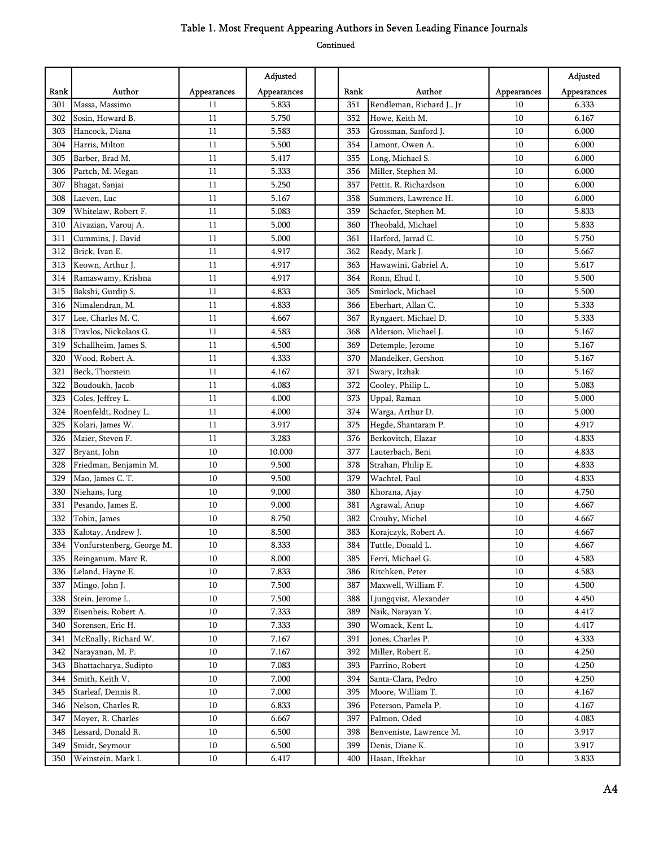|      |                           |             | Adjusted    |      |                           |             | Adjusted    |
|------|---------------------------|-------------|-------------|------|---------------------------|-------------|-------------|
| Rank | Author                    | Appearances | Appearances | Rank | Author                    | Appearances | Appearances |
| 301  | Massa, Massimo            | 11          | 5.833       | 351  | Rendleman, Richard J., Jr | 10          | 6.333       |
| 302  | Sosin, Howard B.          | 11          | 5.750       | 352  | Howe, Keith M.            | 10          | 6.167       |
| 303  | Hancock, Diana            | 11          | 5.583       | 353  | Grossman, Sanford J.      | 10          | 6.000       |
| 304  | Harris, Milton            | 11          | 5.500       | 354  | Lamont, Owen A.           | 10          | 6.000       |
| 305  | Barber, Brad M.           | 11          | 5.417       | 355  | Long, Michael S.          | 10          | 6.000       |
| 306  | Partch, M. Megan          | 11          | 5.333       | 356  | Miller, Stephen M.        | 10          | 6.000       |
| 307  | Bhagat, Sanjai            | 11          | 5.250       | 357  | Pettit, R. Richardson     | 10          | 6.000       |
| 308  | Laeven, Luc               | 11          | 5.167       | 358  | Summers, Lawrence H.      | 10          | 6.000       |
| 309  | Whitelaw, Robert F.       | 11          | 5.083       | 359  | Schaefer, Stephen M.      | 10          | 5.833       |
| 310  | Aivazian, Varouj A.       | 11          | 5.000       | 360  | Theobald, Michael         | 10          | 5.833       |
| 311  | Cummins, J. David         | 11          | 5.000       | 361  | Harford, Jarrad C.        | 10          | 5.750       |
| 312  | Brick, Ivan E.            | 11          | 4.917       | 362  | Ready, Mark J.            | 10          | 5.667       |
| 313  | Keown, Arthur J.          | 11          | 4.917       | 363  | Hawawini, Gabriel A.      | 10          | 5.617       |
| 314  | Ramaswamy, Krishna        | 11          | 4.917       | 364  | Ronn, Ehud I.             | 10          | 5.500       |
| 315  | Bakshi, Gurdip S.         | 11          | 4.833       | 365  | Smirlock, Michael         | 10          | 5.500       |
| 316  | Nimalendran, M.           | 11          | 4.833       | 366  | Eberhart, Allan C.        | 10          | 5.333       |
| 317  | Lee, Charles M. C.        | 11          | 4.667       | 367  | Ryngaert, Michael D.      | 10          | 5.333       |
| 318  | Travlos, Nickolaos G.     | 11          | 4.583       | 368  | Alderson, Michael J.      | 10          | 5.167       |
| 319  | Schallheim, James S.      | 11          | 4.500       | 369  | Detemple, Jerome          | 10          | 5.167       |
| 320  | Wood, Robert A.           | 11          | 4.333       | 370  | Mandelker, Gershon        | 10          | 5.167       |
| 321  | Beck, Thorstein           | 11          | 4.167       | 371  | Swary, Itzhak             | 10          | 5.167       |
| 322  | Boudoukh, Jacob           | 11          | 4.083       | 372  | Cooley, Philip L.         | 10          | 5.083       |
| 323  | Coles, Jeffrey L.         | 11          | 4.000       | 373  | Uppal, Raman              | 10          | 5.000       |
| 324  | Roenfeldt, Rodney L.      | 11          | 4.000       | 374  | Warga, Arthur D.          | $10\,$      | 5.000       |
| 325  | Kolari, James W.          | 11          | 3.917       | 375  | Hegde, Shantaram P.       | 10          | 4.917       |
| 326  | Maier, Steven F.          | 11          | 3.283       | 376  | Berkovitch, Elazar        | 10          | 4.833       |
| 327  | Bryant, John              | 10          | 10.000      | 377  | Lauterbach, Beni          | 10          | 4.833       |
| 328  | Friedman, Benjamin M.     | 10          | 9.500       | 378  | Strahan, Philip E.        | 10          | 4.833       |
| 329  | Mao, James C. T.          | 10          | 9.500       | 379  | Wachtel, Paul             | 10          | 4.833       |
| 330  | Niehans, Jurg             | 10          | 9.000       | 380  | Khorana, Ajay             | 10          | 4.750       |
| 331  | Pesando, James E.         | 10          | 9.000       | 381  | Agrawal, Anup             | 10          | 4.667       |
| 332  | Tobin, James              | 10          | 8.750       | 382  | Crouhy, Michel            | 10          | 4.667       |
| 333  | Kalotay, Andrew J.        | 10          | 8.500       | 383  | Korajczyk, Robert A.      | 10          | 4.667       |
| 334  | Vonfurstenberg, George M. | $10\,$      | 8.333       | 384  | Tuttle, Donald L.         | $10\,$      | 4.667       |
| 335  | Reinganum, Marc R.        | 10          | 8.000       | 385  | Ferri, Michael G.         | 10          | 4.583       |
| 336  | Leland, Hayne E.          | $10\,$      | 7.833       | 386  | Ritchken, Peter           | 10          | 4.583       |
| 337  | Mingo, John J.            | 10          | 7.500       | 387  | Maxwell, William F.       | 10          | 4.500       |
| 338  | Stein, Jerome L.          | 10          | 7.500       | 388  | Ljungqvist, Alexander     | 10          | 4.450       |
| 339  | Eisenbeis, Robert A.      | 10          | 7.333       | 389  | Naik, Narayan Y.          | 10          | 4.417       |
| 340  | Sorensen, Eric H.         | 10          | 7.333       | 390  | Womack, Kent L.           | 10          | 4.417       |
| 341  | McEnally, Richard W.      | $10\,$      | 7.167       | 391  | Jones, Charles P.         | 10          | 4.333       |
| 342  | Narayanan, M. P.          | $10\,$      | 7.167       | 392  | Miller, Robert E.         | 10          | 4.250       |
| 343  | Bhattacharya, Sudipto     | $10\,$      | 7.083       | 393  | Parrino, Robert           | 10          | 4.250       |
| 344  | Smith, Keith V.           | $10\,$      | 7.000       | 394  | Santa-Clara, Pedro        | 10          | 4.250       |
| 345  | Starleaf, Dennis R.       | 10          | 7.000       | 395  | Moore, William T.         | 10          | 4.167       |
| 346  | Nelson, Charles R.        | 10          | 6.833       | 396  | Peterson, Pamela P.       | 10          | 4.167       |
| 347  | Moyer, R. Charles         | 10          | 6.667       | 397  | Palmon, Oded              | 10          | 4.083       |
| 348  | Lessard, Donald R.        | $10\,$      | 6.500       | 398  | Benveniste, Lawrence M.   | $10\,$      | 3.917       |
| 349  | Smidt, Seymour            | $10\,$      | 6.500       | 399  | Denis, Diane K.           | 10          | 3.917       |
| 350  | Weinstein, Mark I.        | 10          | 6.417       | 400  | Hasan, Iftekhar           | 10          | 3.833       |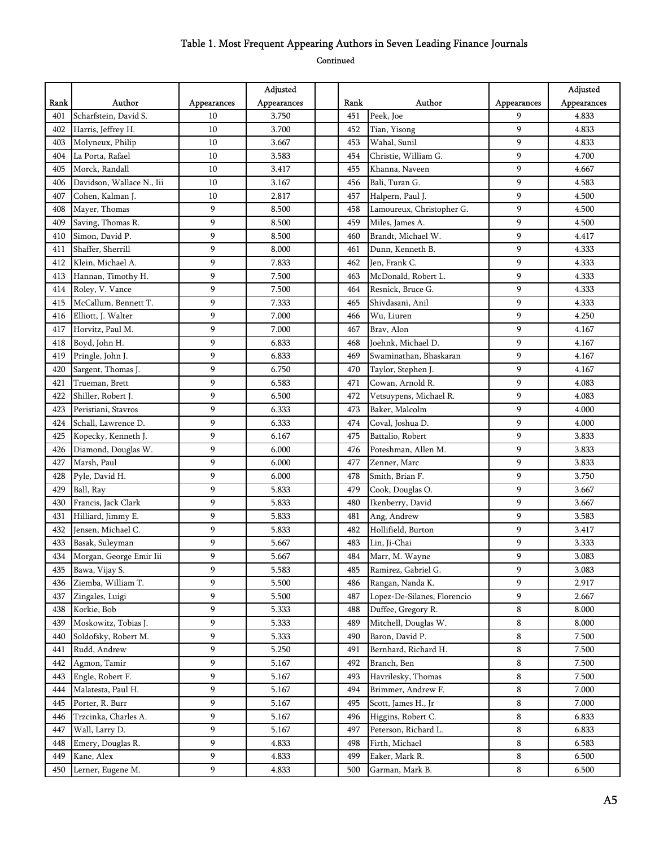|      |                           |             | Adjusted    |      |                             |             | Adjusted    |
|------|---------------------------|-------------|-------------|------|-----------------------------|-------------|-------------|
| Rank | Author                    | Appearances | Appearances | Rank | Author                      | Appearances | Appearances |
| 401  | Scharfstein, David S.     | 10          | 3.750       | 451  | Peek, Joe                   | 9           | 4.833       |
| 402  | Harris, Jeffrey H.        | 10          | 3.700       | 452  | Tian, Yisong                | 9           | 4.833       |
| 403  | Molyneux, Philip          | 10          | 3.667       | 453  | Wahal, Sunil                | 9           | 4.833       |
| 404  | La Porta, Rafael          | 10          | 3.583       | 454  | Christie, William G.        | 9           | 4.700       |
| 405  | Morck, Randall            | 10          | 3.417       | 455  | Khanna, Naveen              | 9           | 4.667       |
| 406  | Davidson, Wallace N., Iii | 10          | 3.167       | 456  | Bali, Turan G.              | 9           | 4.583       |
| 407  | Cohen, Kalman J.          | 10          | 2.817       | 457  | Halpern, Paul J.            | 9           | 4.500       |
| 408  | Mayer, Thomas             | 9           | 8.500       | 458  | Lamoureux, Christopher G.   | 9           | 4.500       |
| 409  | Saving, Thomas R.         | 9           | 8.500       | 459  | Miles, James A.             | 9           | 4.500       |
| 410  | Simon, David P.           | 9           | 8.500       | 460  | Brandt, Michael W.          | 9           | 4.417       |
| 411  | Shaffer, Sherrill         | 9           | 8.000       | 461  | Dunn, Kenneth B.            | 9           | 4.333       |
| 412  | Klein, Michael A.         | 9           | 7.833       | 462  | Jen, Frank C.               | 9           | 4.333       |
| 413  | Hannan, Timothy H.        | 9           | 7.500       | 463  | McDonald, Robert L.         | 9           | 4.333       |
| 414  | Roley, V. Vance           | 9           | 7.500       | 464  | Resnick, Bruce G.           | 9           | 4.333       |
| 415  | McCallum, Bennett T.      | 9           | 7.333       | 465  | Shivdasani, Anil            | 9           | 4.333       |
| 416  | Elliott, J. Walter        | 9           | 7.000       | 466  | Wu, Liuren                  | 9           | 4.250       |
| 417  | Horvitz, Paul M.          | 9           | 7.000       | 467  | Brav, Alon                  | 9           | 4.167       |
| 418  | Boyd, John H.             | 9           | 6.833       | 468  | Joehnk, Michael D.          | 9           | 4.167       |
| 419  | Pringle, John J.          | 9           | 6.833       | 469  | Swaminathan, Bhaskaran      | 9           | 4.167       |
| 420  | Sargent, Thomas J.        | 9           | 6.750       | 470  | Taylor, Stephen J.          | 9           | 4.167       |
| 421  | Trueman, Brett            | 9           | 6.583       | 471  | Cowan, Arnold R.            | 9           | 4.083       |
| 422  | Shiller, Robert J.        | 9           | 6.500       | 472  | Vetsuypens, Michael R.      | 9           | 4.083       |
| 423  | Peristiani, Stavros       | 9           | 6.333       | 473  | Baker, Malcolm              | 9           | 4.000       |
| 424  | Schall, Lawrence D.       | 9           | 6.333       | 474  | Coval, Joshua D.            | 9           | 4.000       |
| 425  | Kopecky, Kenneth J.       | 9           | 6.167       | 475  | Battalio, Robert            | 9           | 3.833       |
| 426  | Diamond, Douglas W.       | 9           | 6.000       | 476  | Poteshman, Allen M.         | 9           | 3.833       |
| 427  | Marsh, Paul               | 9           | 6.000       | 477  | Zenner, Marc                | 9           | 3.833       |
| 428  | Pyle, David H.            | 9           | 6.000       | 478  | Smith, Brian F.             | 9           | 3.750       |
| 429  | Ball, Ray                 | 9           | 5.833       | 479  | Cook, Douglas O.            | 9           | 3.667       |
| 430  | Francis, Jack Clark       | 9           | 5.833       | 480  | Ikenberry, David            | 9           | 3.667       |
| 431  | Hilliard, Jimmy E.        | 9           | 5.833       | 481  | Ang, Andrew                 | 9           | 3.583       |
| 432  | Jensen, Michael C.        | 9           | 5.833       | 482  | Hollifield, Burton          | 9           | 3.417       |
| 433  | Basak, Suleyman           | 9           | 5.667       | 483  | Lin, Ji-Chai                | 9           | 3.333       |
| 434  | Morgan, George Emir Iii   | 9           | 5.667       | 484  | Marr, M. Wayne              | 9           | 3.083       |
| 435  | Bawa, Vijay S.            | 9           | 5.583       | 485  | Ramirez, Gabriel G.         | 9           | 3.083       |
| 436  | Ziemba, William T.        | 9           | 5.500       | 486  | Rangan, Nanda K.            | 9           | 2.917       |
| 437  | Zingales, Luigi           | 9           | 5.500       | 487  | Lopez-De-Silanes, Florencio | 9           | 2.667       |
| 438  | Korkie, Bob               | 9           | 5.333       | 488  | Duffee, Gregory R.          | 8           | 8.000       |
| 439  | Moskowitz, Tobias J.      | 9           | 5.333       | 489  | Mitchell, Douglas W.        | 8           | 8.000       |
| 440  | Soldofsky, Robert M.      | 9           | 5.333       | 490  | Baron, David P.             | 8           | 7.500       |
| 441  | Rudd, Andrew              | 9           | 5.250       | 491  | Bernhard, Richard H.        | 8           | 7.500       |
| 442  | Agmon, Tamir              | 9           | 5.167       | 492  | Branch, Ben                 | 8           | 7.500       |
| 443  | Engle, Robert F.          | 9           | 5.167       | 493  | Havrilesky, Thomas          | 8           | 7.500       |
| 444  | Malatesta, Paul H.        | 9           | 5.167       | 494  | Brimmer, Andrew F.          | 8           | 7.000       |
| 445  | Porter, R. Burr           | 9           | 5.167       | 495  | Scott, James H., Jr         | $\bf 8$     | 7.000       |
| 446  | Trzcinka, Charles A.      | 9           | 5.167       | 496  | Higgins, Robert C.          | 8           | 6.833       |
| 447  | Wall, Larry D.            | 9           | 5.167       | 497  | Peterson, Richard L.        | 8           | 6.833       |
| 448  | Emery, Douglas R.         | 9           | 4.833       | 498  | Firth, Michael              | 8           | 6.583       |
| 449  | Kane, Alex                | 9           | 4.833       | 499  | Eaker, Mark R.              | 8           | 6.500       |
| 450  | Lerner, Eugene M.         | 9           | 4.833       | 500  | Garman, Mark B.             | 8           | 6.500       |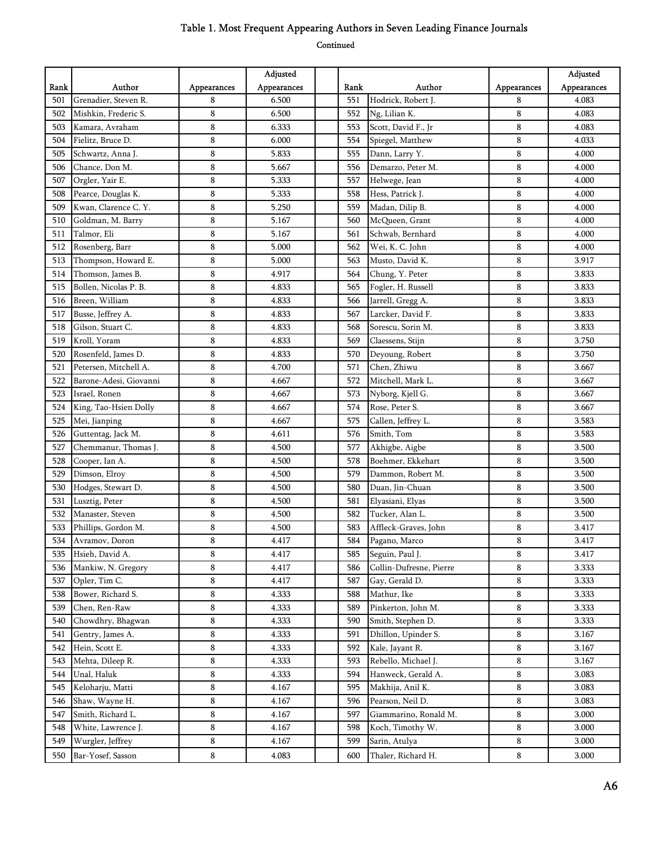|      |                        |             | Adjusted    |      |                         |             | Adjusted    |
|------|------------------------|-------------|-------------|------|-------------------------|-------------|-------------|
| Rank | Author                 | Appearances | Appearances | Rank | Author                  | Appearances | Appearances |
| 501  | Grenadier, Steven R.   | 8           | 6.500       | 551  | Hodrick, Robert J.      | 8           | 4.083       |
| 502  | Mishkin, Frederic S.   | 8           | 6.500       | 552  | Ng, Lilian K.           | 8           | 4.083       |
| 503  | Kamara, Avraham        | 8           | 6.333       | 553  | Scott, David F., Jr     | 8           | 4.083       |
| 504  | Fielitz, Bruce D.      | 8           | 6.000       | 554  | Spiegel, Matthew        | 8           | 4.033       |
| 505  | Schwartz, Anna J.      | 8           | 5.833       | 555  | Dann, Larry Y.          | 8           | 4.000       |
| 506  | Chance, Don M.         | 8           | 5.667       | 556  | Demarzo, Peter M.       | 8           | 4.000       |
| 507  | Orgler, Yair E.        | 8           | 5.333       | 557  | Helwege, Jean           | 8           | 4.000       |
| 508  | Pearce, Douglas K.     | 8           | 5.333       | 558  | Hess, Patrick J.        | 8           | 4.000       |
| 509  | Kwan, Clarence C. Y.   | 8           | 5.250       | 559  | Madan, Dilip B.         | 8           | 4.000       |
| 510  | Goldman, M. Barry      | 8           | 5.167       | 560  | McQueen, Grant          | 8           | 4.000       |
| 511  | Talmor, Eli            | 8           | 5.167       | 561  | Schwab, Bernhard        | 8           | 4.000       |
| 512  | Rosenberg, Barr        | 8           | 5.000       | 562  | Wei, K. C. John         | 8           | 4.000       |
| 513  | Thompson, Howard E.    | 8           | 5.000       | 563  | Musto, David K.         | 8           | 3.917       |
| 514  | Thomson, James B.      | 8           | 4.917       | 564  | Chung, Y. Peter         | 8           | 3.833       |
| 515  | Bollen, Nicolas P. B.  | 8           | 4.833       | 565  | Fogler, H. Russell      | 8           | 3.833       |
| 516  | Breen, William         | 8           | 4.833       | 566  | Jarrell, Gregg A.       | 8           | 3.833       |
| 517  | Busse, Jeffrey A.      | 8           | 4.833       | 567  | Larcker, David F.       | 8           | 3.833       |
| 518  | Gilson, Stuart C.      | 8           | 4.833       | 568  | Sorescu, Sorin M.       | 8           | 3.833       |
| 519  | Kroll, Yoram           | 8           | 4.833       | 569  | Claessens, Stijn        | 8           | 3.750       |
| 520  | Rosenfeld, James D.    | 8           | 4.833       | 570  | Deyoung, Robert         | 8           | 3.750       |
| 521  | Petersen, Mitchell A.  | 8           | 4.700       | 571  | Chen, Zhiwu             | 8           | 3.667       |
| 522  | Barone-Adesi, Giovanni | 8           | 4.667       | 572  | Mitchell, Mark L.       | 8           | 3.667       |
| 523  | Israel, Ronen          | 8           | 4.667       | 573  | Nyborg, Kjell G.        | 8           | 3.667       |
| 524  | King, Tao-Hsien Dolly  | 8           | 4.667       | 574  | Rose, Peter S.          | 8           | 3.667       |
| 525  | Mei, Jianping          | 8           | 4.667       | 575  | Callen, Jeffrey L.      | 8           | 3.583       |
| 526  | Guttentag, Jack M.     | 8           | 4.611       | 576  | Smith, Tom              | 8           | 3.583       |
| 527  | Chemmanur, Thomas J.   | 8           | 4.500       | 577  | Akhigbe, Aigbe          | 8           | 3.500       |
| 528  | Cooper, Ian A.         | 8           | 4.500       | 578  | Boehmer, Ekkehart       | 8           | 3.500       |
| 529  | Dimson, Elroy          | 8           | 4.500       | 579  | Dammon, Robert M.       | 8           | 3.500       |
| 530  | Hodges, Stewart D.     | 8           | 4.500       | 580  | Duan, Jin-Chuan         | 8           | 3.500       |
| 531  | Lusztig, Peter         | 8           | 4.500       | 581  | Elyasiani, Elyas        | 8           | 3.500       |
| 532  | Manaster, Steven       | 8           | 4.500       | 582  | Tucker, Alan L.         | 8           | 3.500       |
| 533  | Phillips, Gordon M.    | 8           | 4.500       | 583  | Affleck-Graves, John    | 8           | 3.417       |
| 534  | Avramov, Doron         | 8           | 4.417       | 584  | Pagano, Marco           | 8           | 3.417       |
| 535  | Hsieh, David A.        | 8           | 4.417       | 585  | Seguin, Paul J.         | 8           | 3.417       |
| 536  | Mankiw, N. Gregory     | 8           | 4.417       | 586  | Collin-Dufresne, Pierre | 8           | 3.333       |
| 537  | Opler, Tim C.          | 8           | 4.417       | 587  | Gay, Gerald D.          | 8           | 3.333       |
| 538  | Bower, Richard S.      | 8           | 4.333       | 588  | Mathur, Ike             | 8           | 3.333       |
| 539  | Chen, Ren-Raw          | 8           | 4.333       | 589  | Pinkerton, John M.      | 8           | 3.333       |
| 540  | Chowdhry, Bhagwan      | 8           | 4.333       | 590  | Smith, Stephen D.       | 8           | 3.333       |
| 541  | Gentry, James A.       | 8           | 4.333       | 591  | Dhillon, Upinder S.     | 8           | 3.167       |
| 542  | Hein, Scott E.         | 8           | 4.333       | 592  | Kale, Jayant R.         | 8           | 3.167       |
| 543  | Mehta, Dileep R.       | 8           | 4.333       | 593  | Rebello, Michael J.     | 8           | 3.167       |
| 544  | Unal, Haluk            | 8           | 4.333       | 594  | Hanweck, Gerald A.      | 8           | 3.083       |
| 545  | Keloharju, Matti       | 8           | 4.167       | 595  | Makhija, Anil K.        | 8           | 3.083       |
| 546  | Shaw, Wayne H.         | 8           | 4.167       | 596  | Pearson, Neil D.        | 8           | 3.083       |
| 547  | Smith, Richard L.      | 8           | 4.167       | 597  | Giammarino, Ronald M.   | 8           | 3.000       |
| 548  | White, Lawrence J.     | 8           | 4.167       | 598  | Koch, Timothy W.        | 8           | 3.000       |
| 549  | Wurgler, Jeffrey       | 8           | 4.167       | 599  | Sarin, Atulya           | 8           | 3.000       |
| 550  | Bar-Yosef, Sasson      | 8           | 4.083       | 600  | Thaler, Richard H.      | 8           | 3.000       |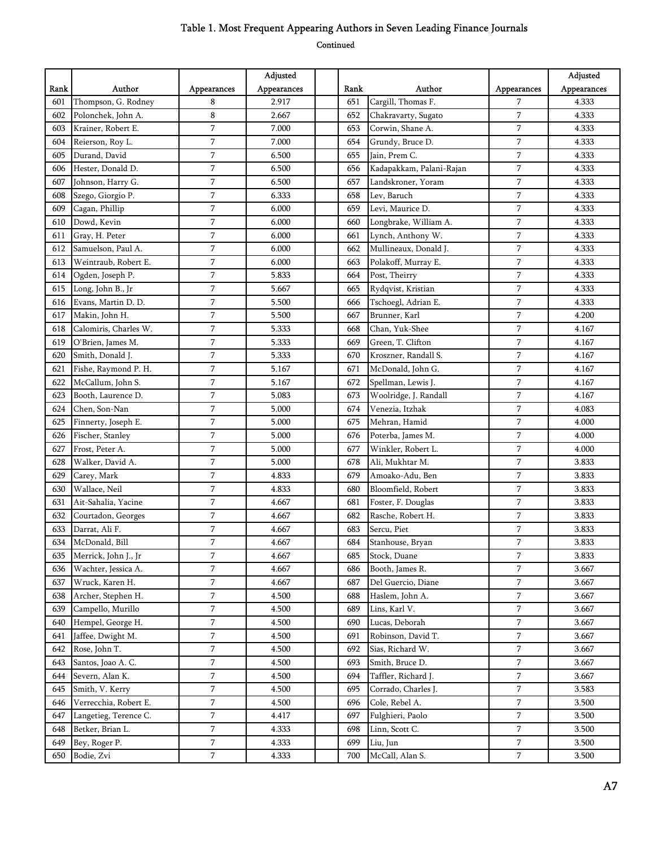|      |                       |                | Adjusted    |      |                          |                | Adjusted    |
|------|-----------------------|----------------|-------------|------|--------------------------|----------------|-------------|
| Rank | Author                | Appearances    | Appearances | Rank | Author                   | Appearances    | Appearances |
| 601  | Thompson, G. Rodney   | 8              | 2.917       | 651  | Cargill, Thomas F.       | 7              | 4.333       |
| 602  | Polonchek, John A.    | 8              | 2.667       | 652  | Chakravarty, Sugato      | 7              | 4.333       |
| 603  | Krainer, Robert E.    | $\overline{7}$ | 7.000       | 653  | Corwin, Shane A.         | $\overline{7}$ | 4.333       |
| 604  | Reierson, Roy L.      | 7              | 7.000       | 654  | Grundy, Bruce D.         | $\overline{7}$ | 4.333       |
| 605  | Durand, David         | 7              | 6.500       | 655  | Jain, Prem C.            | 7              | 4.333       |
| 606  | Hester, Donald D.     | 7              | 6.500       | 656  | Kadapakkam, Palani-Rajan | $\sqrt{ }$     | 4.333       |
| 607  | Johnson, Harry G.     | 7              | 6.500       | 657  | Landskroner, Yoram       | $\overline{7}$ | 4.333       |
| 608  | Szego, Giorgio P.     | 7              | 6.333       | 658  | Lev, Baruch              | 7              | 4.333       |
| 609  | Cagan, Phillip        | $\overline{7}$ | 6.000       | 659  | Levi, Maurice D.         | $\overline{7}$ | 4.333       |
| 610  | Dowd, Kevin           | 7              | 6.000       | 660  | Longbrake, William A.    | $\sqrt{ }$     | 4.333       |
| 611  | Gray, H. Peter        | 7              | 6.000       | 661  | Lynch, Anthony W.        | $\overline{7}$ | 4.333       |
| 612  | Samuelson, Paul A.    | 7              | 6.000       | 662  | Mullineaux, Donald J.    | $\overline{7}$ | 4.333       |
| 613  | Weintraub, Robert E.  | $\overline{7}$ | 6.000       | 663  | Polakoff, Murray E.      | $\overline{7}$ | 4.333       |
| 614  | Ogden, Joseph P.      | 7              | 5.833       | 664  | Post, Theirry            | 7              | 4.333       |
| 615  | Long, John B., Jr     | $\overline{7}$ | 5.667       | 665  | Rydqvist, Kristian       | $\overline{7}$ | 4.333       |
| 616  | Evans, Martin D. D.   | $\overline{7}$ | 5.500       | 666  | Tschoegl, Adrian E.      | $\overline{7}$ | 4.333       |
| 617  | Makin, John H.        | $\overline{7}$ | 5.500       | 667  | Brunner, Karl            | $\overline{7}$ | 4.200       |
| 618  | Calomiris, Charles W. | 7              | 5.333       | 668  | Chan, Yuk-Shee           | 7              | 4.167       |
| 619  | O'Brien, James M.     | 7              | 5.333       | 669  | Green, T. Clifton        | $\overline{7}$ | 4.167       |
| 620  | Smith, Donald J.      | 7              | 5.333       | 670  | Kroszner, Randall S.     | 7              | 4.167       |
| 621  | Fishe, Raymond P. H.  | $\overline{7}$ | 5.167       | 671  | McDonald, John G.        | $\overline{7}$ | 4.167       |
| 622  | McCallum, John S.     | $\overline{7}$ | 5.167       | 672  | Spellman, Lewis J.       | $\overline{7}$ | 4.167       |
| 623  | Booth, Laurence D.    | 7              | 5.083       | 673  | Woolridge, J. Randall    | 7              | 4.167       |
| 624  | Chen, Son-Nan         | 7              | 5.000       | 674  | Venezia, Itzhak          | 7              | 4.083       |
| 625  | Finnerty, Joseph E.   | $\overline{7}$ | 5.000       | 675  | Mehran, Hamid            | 7              | 4.000       |
| 626  | Fischer, Stanley      | $\overline{7}$ | 5.000       | 676  | Poterba, James M.        | 7              | 4.000       |
| 627  | Frost, Peter A.       | 7              | 5.000       | 677  | Winkler, Robert L.       | 7              | 4.000       |
| 628  | Walker, David A.      | $\overline{7}$ | 5.000       | 678  | Ali, Mukhtar M.          | $\overline{7}$ | 3.833       |
| 629  | Carey, Mark           | 7              | 4.833       | 679  | Amoako-Adu, Ben          | 7              | 3.833       |
| 630  | Wallace, Neil         | 7              | 4.833       | 680  | Bloomfield, Robert       | 7              | 3.833       |
| 631  | Ait-Sahalia, Yacine   | 7              | 4.667       | 681  | Foster, F. Douglas       | $\sqrt{ }$     | 3.833       |
| 632  | Courtadon, Georges    | $\overline{7}$ | 4.667       | 682  | Rasche, Robert H.        | $\overline{7}$ | 3.833       |
| 633  | Darrat, Ali F.        | 7              | 4.667       | 683  | Sercu, Piet              | $\sqrt{ }$     | 3.833       |
| 634  | McDonald, Bill        | $\overline{7}$ | 4.667       | 684  | Stanhouse, Bryan         | $\sqrt{ }$     | 3.833       |
| 635  | Merrick, John J., Jr  | $\overline{7}$ | 4.667       | 685  | Stock, Duane             | $\overline{7}$ | 3.833       |
| 636  | Wachter, Jessica A.   | 7              | 4.667       | 686  | Booth, James R.          | $\overline{7}$ | 3.667       |
| 637  | Wruck, Karen H.       | 7              | 4.667       | 687  | Del Guercio, Diane       | 7              | 3.667       |
| 638  | Archer, Stephen H.    | $\overline{7}$ | 4.500       | 688  | Haslem, John A.          | $\overline{7}$ | 3.667       |
| 639  | Campello, Murillo     | $\overline{7}$ | 4.500       | 689  | Lins, Karl V.            | 7              | 3.667       |
| 640  | Hempel, George H.     | 7              | 4.500       | 690  | Lucas, Deborah           | 7              | 3.667       |
| 641  | Jaffee, Dwight M.     | $\overline{7}$ | 4.500       | 691  | Robinson, David T.       | $\sqrt{2}$     | 3.667       |
| 642  | Rose, John T.         | $\overline{7}$ | 4.500       | 692  | Sias, Richard W.         | $\sqrt{2}$     | 3.667       |
| 643  | Santos, Joao A. C.    | 7              | 4.500       | 693  | Smith, Bruce D.          | $\overline{7}$ | 3.667       |
| 644  | Severn, Alan K.       | $\overline{7}$ | 4.500       | 694  | Taffler, Richard J.      | $\sqrt{2}$     | 3.667       |
| 645  | Smith, V. Kerry       | $\overline{7}$ | 4.500       | 695  | Corrado, Charles J.      | $\overline{7}$ | 3.583       |
| 646  | Verrecchia, Robert E. | $\overline{7}$ | 4.500       | 696  | Cole, Rebel A.           | $\sqrt{7}$     | 3.500       |
| 647  | Langetieg, Terence C. | $\overline{7}$ | 4.417       | 697  | Fulghieri, Paolo         | $\sqrt{7}$     | 3.500       |
| 648  | Betker, Brian L.      | $\overline{7}$ | 4.333       | 698  | Linn, Scott C.           | $\sqrt{2}$     | 3.500       |
| 649  | Bey, Roger P.         | $\overline{7}$ | 4.333       | 699  | Liu, Jun                 | 7              | 3.500       |
| 650  | Bodie, Zvi            | $\overline{7}$ | 4.333       | 700  | McCall, Alan S.          | $\sqrt{2}$     | 3.500       |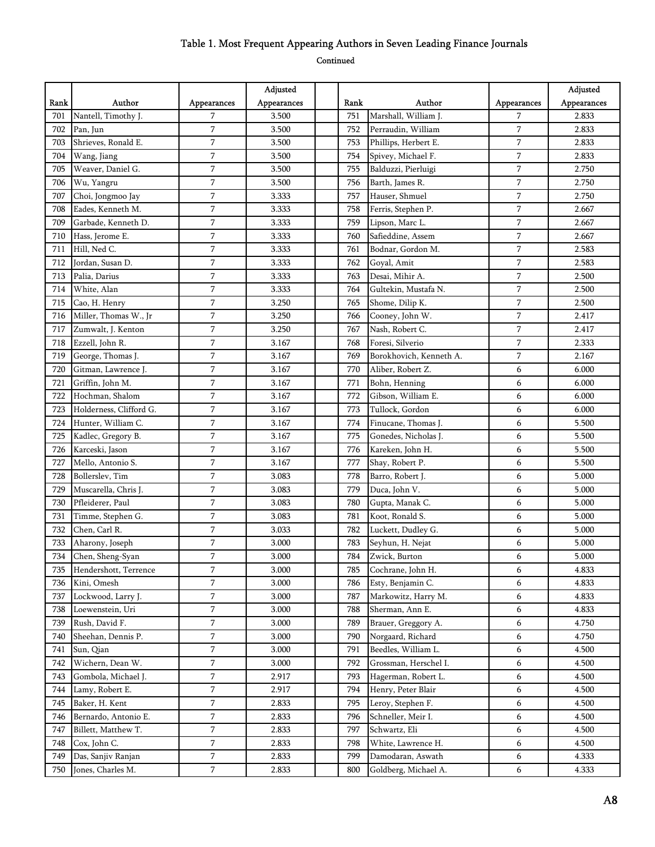|      |                         |                | Adjusted    |      |                         |                  | Adjusted    |
|------|-------------------------|----------------|-------------|------|-------------------------|------------------|-------------|
| Rank | Author                  | Appearances    | Appearances | Rank | Author                  | Appearances      | Appearances |
| 701  | Nantell, Timothy J.     | 7              | 3.500       | 751  | Marshall, William J.    | 7                | 2.833       |
| 702  | Pan, Jun                | $\overline{7}$ | 3.500       | 752  | Perraudin, William      | 7                | 2.833       |
| 703  | Shrieves, Ronald E.     | $\overline{7}$ | 3.500       | 753  | Phillips, Herbert E.    | $\overline{7}$   | 2.833       |
| 704  | Wang, Jiang             | $\overline{7}$ | 3.500       | 754  | Spivey, Michael F.      | $\overline{7}$   | 2.833       |
| 705  | Weaver, Daniel G.       | 7              | 3.500       | 755  | Balduzzi, Pierluigi     | 7                | 2.750       |
| 706  | Wu, Yangru              | 7              | 3.500       | 756  | Barth, James R.         | $\overline{7}$   | 2.750       |
| 707  | Choi, Jongmoo Jay       | 7              | 3.333       | 757  | Hauser, Shmuel          | $\overline{7}$   | 2.750       |
| 708  | Eades, Kenneth M.       | 7              | 3.333       | 758  | Ferris, Stephen P.      | $\overline{7}$   | 2.667       |
| 709  | Garbade, Kenneth D.     | 7              | 3.333       | 759  | Lipson, Marc L.         | $\overline{7}$   | 2.667       |
| 710  | Hass, Jerome E.         | 7              | 3.333       | 760  | Safieddine, Assem       | $\overline{7}$   | 2.667       |
| 711  | Hill, Ned C.            | 7              | 3.333       | 761  | Bodnar, Gordon M.       | $\overline{7}$   | 2.583       |
| 712  | Jordan, Susan D.        | 7              | 3.333       | 762  | Goyal, Amit             | $\overline{7}$   | 2.583       |
| 713  | Palia, Darius           | $\overline{7}$ | 3.333       | 763  | Desai, Mihir A.         | $\overline{7}$   | 2.500       |
| 714  | White, Alan             | 7              | 3.333       | 764  | Gultekin, Mustafa N.    | $\overline{7}$   | 2.500       |
| 715  | Cao, H. Henry           | $\overline{7}$ | 3.250       | 765  | Shome, Dilip K.         | $\overline{7}$   | 2.500       |
| 716  | Miller, Thomas W., Jr   | 7              | 3.250       | 766  | Cooney, John W.         | $\overline{7}$   | 2.417       |
| 717  | Zumwalt, J. Kenton      | 7              | 3.250       | 767  | Nash, Robert C.         | $\overline{7}$   | 2.417       |
| 718  | Ezzell, John R.         | 7              | 3.167       | 768  | Foresi, Silverio        | $\overline{7}$   | 2.333       |
| 719  | George, Thomas J.       | 7              | 3.167       | 769  | Borokhovich, Kenneth A. | $\overline{7}$   | 2.167       |
| 720  | Gitman, Lawrence J.     | 7              | 3.167       | 770  | Aliber, Robert Z.       | 6                | 6.000       |
| 721  | Griffin, John M.        | $\overline{7}$ | 3.167       | 771  | Bohn, Henning           | 6                | 6.000       |
| 722  | Hochman, Shalom         | 7              | 3.167       | 772  | Gibson, William E.      | 6                | 6.000       |
| 723  | Holderness, Clifford G. | $\overline{7}$ | 3.167       | 773  | Tullock, Gordon         | 6                | 6.000       |
| 724  | Hunter, William C.      | 7              | 3.167       | 774  | Finucane, Thomas J.     | 6                | 5.500       |
| 725  | Kadlec, Gregory B.      | 7              | 3.167       | 775  | Gonedes, Nicholas J.    | 6                | 5.500       |
| 726  | Karceski, Jason         | $\overline{7}$ | 3.167       | 776  | Kareken, John H.        | 6                | 5.500       |
| 727  | Mello, Antonio S.       | 7              | 3.167       | 777  | Shay, Robert P.         | 6                | 5.500       |
| 728  | Bollerslev, Tim         | 7              | 3.083       | 778  | Barro, Robert J.        | 6                | 5.000       |
| 729  | Muscarella, Chris J.    | $\overline{7}$ | 3.083       | 779  | Duca, John V.           | 6                | 5.000       |
| 730  | Pfleiderer, Paul        | 7              | 3.083       | 780  | Gupta, Manak C.         | 6                | 5.000       |
| 731  | Timme, Stephen G.       | 7              | 3.083       | 781  | Koot, Ronald S.         | 6                | 5.000       |
| 732  | Chen, Carl R.           | $\overline{7}$ | 3.033       | 782  | Luckett, Dudley G.      | 6                | 5.000       |
| 733  | Aharony, Joseph         | 7              | 3.000       | 783  | Seyhun, H. Nejat        | 6                | 5.000       |
| 734  | Chen, Sheng-Syan        | $\overline{7}$ | 3.000       | 784  | Zwick, Burton           | 6                | 5.000       |
| 735  | Hendershott, Terrence   | 7              | 3.000       | 785  | Cochrane, John H.       | 6                | 4.833       |
| 736  | Kini, Omesh             | 7              | 3.000       | 786  | Esty, Benjamin C.       | 6                | 4.833       |
| 737  | Lockwood, Larry J.      | 7              | 3.000       | 787  | Markowitz, Harry M.     | 6                | 4.833       |
| 738  | Loewenstein, Uri        | $\overline{7}$ | 3.000       | 788  | Sherman, Ann E.         | 6                | 4.833       |
| 739  | Rush, David F.          | 7              | 3.000       | 789  | Brauer, Greggory A.     | 6                | 4.750       |
| 740  | Sheehan, Dennis P.      | $\overline{7}$ | 3.000       | 790  | Norgaard, Richard       | 6                | 4.750       |
| 741  | Sun, Qian               | $\overline{7}$ | 3.000       | 791  | Beedles, William L.     | 6                | 4.500       |
| 742  | Wichern, Dean W.        | 7              | 3.000       | 792  | Grossman, Herschel I.   | 6                | 4.500       |
| 743  | Gombola, Michael J.     | 7              | 2.917       | 793  | Hagerman, Robert L.     | 6                | 4.500       |
| 744  | Lamy, Robert E.         | $\overline{7}$ | 2.917       | 794  | Henry, Peter Blair      | $\boldsymbol{6}$ | 4.500       |
| 745  | Baker, H. Kent          | 7              | 2.833       | 795  | Leroy, Stephen F.       | 6                | 4.500       |
| 746  | Bernardo, Antonio E.    | $\overline{7}$ | 2.833       | 796  | Schneller, Meir I.      | 6                | 4.500       |
| 747  | Billett, Matthew T.     | $\overline{7}$ | 2.833       | 797  | Schwartz, Eli           | 6                | 4.500       |
| 748  | Cox, John C.            | 7              | 2.833       | 798  | White, Lawrence H.      | 6                | 4.500       |
| 749  | Das, Sanjiv Ranjan      | 7              | 2.833       | 799  | Damodaran, Aswath       | 6                | 4.333       |
| 750  | Jones, Charles M.       | $\overline{7}$ | 2.833       | 800  | Goldberg, Michael A.    | 6                | 4.333       |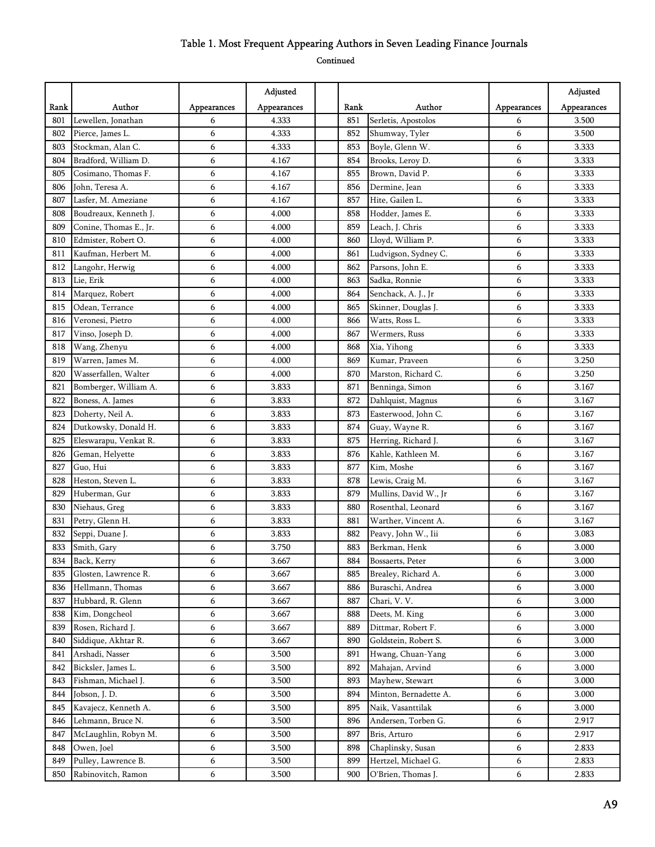|      |                        |             | Adjusted    |      |                       |             | Adjusted    |
|------|------------------------|-------------|-------------|------|-----------------------|-------------|-------------|
| Rank | Author                 | Appearances | Appearances | Rank | Author                | Appearances | Appearances |
| 801  | Lewellen, Jonathan     | 6           | 4.333       | 851  | Serletis, Apostolos   | 6           | 3.500       |
| 802  | Pierce, James L.       | 6           | 4.333       | 852  | Shumway, Tyler        | 6           | 3.500       |
| 803  | Stockman, Alan C.      | 6           | 4.333       | 853  | Boyle, Glenn W.       | 6           | 3.333       |
| 804  | Bradford, William D.   | 6           | 4.167       | 854  | Brooks, Leroy D.      | 6           | 3.333       |
| 805  | Cosimano, Thomas F.    | 6           | 4.167       | 855  | Brown, David P.       | 6           | 3.333       |
| 806  | John, Teresa A.        | 6           | 4.167       | 856  | Dermine, Jean         | 6           | 3.333       |
| 807  | Lasfer, M. Ameziane    | 6           | 4.167       | 857  | Hite, Gailen L.       | 6           | 3.333       |
| 808  | Boudreaux, Kenneth J.  | 6           | 4.000       | 858  | Hodder, James E.      | 6           | 3.333       |
| 809  | Conine, Thomas E., Jr. | 6           | 4.000       | 859  | Leach, J. Chris       | 6           | 3.333       |
| 810  | Edmister, Robert O.    | 6           | 4.000       | 860  | Lloyd, William P.     | 6           | 3.333       |
| 811  | Kaufman, Herbert M.    | 6           | 4.000       | 861  | Ludvigson, Sydney C.  | 6           | 3.333       |
| 812  | Langohr, Herwig        | 6           | 4.000       | 862  | Parsons, John E.      | 6           | 3.333       |
| 813  | Lie, Erik              | 6           | 4.000       | 863  | Sadka, Ronnie         | 6           | 3.333       |
| 814  | Marquez, Robert        | 6           | 4.000       | 864  | Senchack, A. J., Jr   | 6           | 3.333       |
| 815  | Odean, Terrance        | 6           | 4.000       | 865  | Skinner, Douglas J.   | 6           | 3.333       |
| 816  | Veronesi, Pietro       | 6           | 4.000       | 866  | Watts, Ross L.        | 6           | 3.333       |
| 817  | Vinso, Joseph D.       | 6           | 4.000       | 867  | Wermers, Russ         | 6           | 3.333       |
| 818  | Wang, Zhenyu           | 6           | 4.000       | 868  | Xia, Yihong           | 6           | 3.333       |
| 819  | Warren, James M.       | 6           | 4.000       | 869  | Kumar, Praveen        | 6           | 3.250       |
| 820  | Wasserfallen, Walter   | 6           | 4.000       | 870  | Marston, Richard C.   | 6           | 3.250       |
| 821  | Bomberger, William A.  | 6           | 3.833       | 871  | Benninga, Simon       | 6           | 3.167       |
| 822  | Boness, A. James       | 6           | 3.833       | 872  | Dahlquist, Magnus     | 6           | 3.167       |
| 823  | Doherty, Neil A.       | 6           | 3.833       | 873  | Easterwood, John C.   | 6           | 3.167       |
| 824  | Dutkowsky, Donald H.   | 6           | 3.833       | 874  | Guay, Wayne R.        | 6           | 3.167       |
| 825  | Eleswarapu, Venkat R.  | 6           | 3.833       | 875  | Herring, Richard J.   | 6           | 3.167       |
| 826  | Geman, Helyette        | 6           | 3.833       | 876  | Kahle, Kathleen M.    | 6           | 3.167       |
| 827  | Guo, Hui               | 6           | 3.833       | 877  | Kim, Moshe            | 6           | 3.167       |
| 828  | Heston, Steven L.      | 6           | 3.833       | 878  | Lewis, Craig M.       | 6           | 3.167       |
| 829  | Huberman, Gur          | 6           | 3.833       | 879  | Mullins, David W., Jr | 6           | 3.167       |
| 830  | Niehaus, Greg          | 6           | 3.833       | 880  | Rosenthal, Leonard    | 6           | 3.167       |
| 831  | Petry, Glenn H.        | 6           | 3.833       | 881  | Warther, Vincent A.   | 6           | 3.167       |
| 832  | Seppi, Duane J.        | 6           | 3.833       | 882  | Peavy, John W., Iii   | 6           | 3.083       |
| 833  | Smith, Gary            | 6           | 3.750       | 883  | Berkman, Henk         | 6           | 3.000       |
| 834  | Back, Kerry            | 6           | 3.667       | 884  | Bossaerts, Peter      | 6           | 3.000       |
| 835  | Glosten, Lawrence R.   | 6           | 3.667       | 885  | Brealey, Richard A.   | 6           | 3.000       |
| 836  | Hellmann, Thomas       | 6           | 3.667       | 886  | Buraschi, Andrea      | 6           | 3.000       |
| 837  | Hubbard, R. Glenn      | 6           | 3.667       | 887  | Chari, V.V.           | 6           | 3.000       |
| 838  | Kim, Dongcheol         | 6           | 3.667       | 888  | Deets, M. King        | 6           | 3.000       |
| 839  | Rosen, Richard J.      | 6           | 3.667       | 889  | Dittmar, Robert F.    | 6           | 3.000       |
| 840  | Siddique, Akhtar R.    | 6           | 3.667       | 890  | Goldstein, Robert S.  | 6           | 3.000       |
| 841  | Arshadi, Nasser        | 6           | 3.500       | 891  | Hwang, Chuan-Yang     | 6           | 3.000       |
| 842  | Bicksler, James L.     | 6           | 3.500       | 892  | Mahajan, Arvind       | 6           | 3.000       |
| 843  | Fishman, Michael J.    | 6           | 3.500       | 893  | Mayhew, Stewart       | 6           | 3.000       |
| 844  | Jobson, J. D.          | 6           | 3.500       | 894  | Minton, Bernadette A. | 6           | 3.000       |
| 845  | Kavajecz, Kenneth A.   | 6           | 3.500       | 895  | Naik, Vasanttilak     | 6           | 3.000       |
| 846  | Lehmann, Bruce N.      | 6           | 3.500       | 896  | Andersen, Torben G.   | 6           | 2.917       |
| 847  | McLaughlin, Robyn M.   | 6           | 3.500       | 897  | Bris, Arturo          | 6           | 2.917       |
| 848  | Owen, Joel             | 6           | 3.500       | 898  | Chaplinsky, Susan     | 6           | 2.833       |
| 849  | Pulley, Lawrence B.    | 6           | 3.500       | 899  | Hertzel, Michael G.   | 6           | 2.833       |
| 850  | Rabinovitch, Ramon     | 6           | 3.500       | 900  | O'Brien, Thomas J.    | 6           | 2.833       |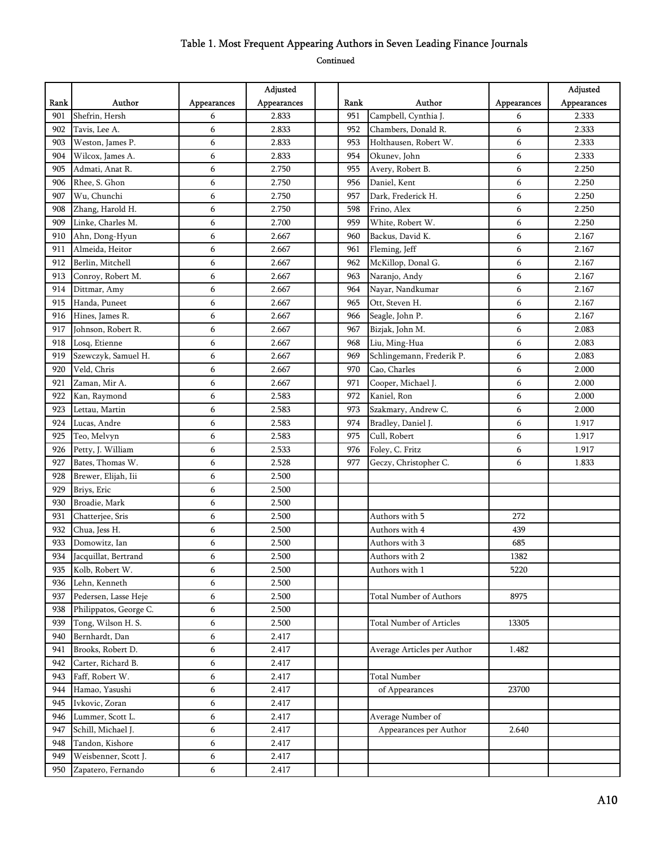|      |                        |             | Adjusted    |      |                                 |             | Adjusted    |
|------|------------------------|-------------|-------------|------|---------------------------------|-------------|-------------|
| Rank | Author                 | Appearances | Appearances | Rank | Author                          | Appearances | Appearances |
| 901  | Shefrin, Hersh         | 6           | 2.833       | 951  | Campbell, Cynthia J.            | 6           | 2.333       |
| 902  | Tavis, Lee A.          | 6           | 2.833       | 952  | Chambers, Donald R.             | 6           | 2.333       |
| 903  | Weston, James P.       | 6           | 2.833       | 953  | Holthausen, Robert W.           | 6           | 2.333       |
| 904  | Wilcox, James A.       | 6           | 2.833       | 954  | Okunev, John                    | 6           | 2.333       |
| 905  | Admati, Anat R.        | 6           | 2.750       | 955  | Avery, Robert B.                | 6           | 2.250       |
| 906  | Rhee, S. Ghon          | 6           | 2.750       | 956  | Daniel, Kent                    | 6           | 2.250       |
| 907  | Wu, Chunchi            | 6           | 2.750       | 957  | Dark, Frederick H.              | 6           | 2.250       |
| 908  | Zhang, Harold H.       | 6           | 2.750       | 598  | Frino, Alex                     | 6           | 2.250       |
| 909  | Linke, Charles M.      | 6           | 2.700       | 959  | White, Robert W.                | 6           | 2.250       |
| 910  | Ahn, Dong-Hyun         | 6           | 2.667       | 960  | Backus, David K.                | 6           | 2.167       |
| 911  | Almeida, Heitor        | 6           | 2.667       | 961  | Fleming, Jeff                   | 6           | 2.167       |
| 912  | Berlin, Mitchell       | 6           | 2.667       | 962  | McKillop, Donal G.              | 6           | 2.167       |
| 913  | Conroy, Robert M.      | 6           | 2.667       | 963  | Naranjo, Andy                   | 6           | 2.167       |
| 914  | Dittmar, Amy           | 6           | 2.667       | 964  | Nayar, Nandkumar                | 6           | 2.167       |
| 915  | Handa, Puneet          | 6           | 2.667       | 965  | Ott, Steven H.                  | 6           | 2.167       |
| 916  | Hines, James R.        | 6           | 2.667       | 966  | Seagle, John P.                 | 6           | 2.167       |
| 917  | Johnson, Robert R.     | 6           | 2.667       | 967  | Bizjak, John M.                 | 6           | 2.083       |
| 918  | Losq, Etienne          | 6           | 2.667       | 968  | Liu, Ming-Hua                   | 6           | 2.083       |
| 919  | Szewczyk, Samuel H.    | 6           | 2.667       | 969  | Schlingemann, Frederik P.       | 6           | 2.083       |
| 920  | Veld, Chris            | 6           | 2.667       | 970  | Cao, Charles                    | 6           | 2.000       |
| 921  | Zaman, Mir A.          | 6           | 2.667       | 971  | Cooper, Michael J.              | 6           | 2.000       |
| 922  | Kan, Raymond           | 6           | 2.583       | 972  | Kaniel, Ron                     | 6           | 2.000       |
| 923  | Lettau, Martin         | 6           | 2.583       | 973  | Szakmary, Andrew C.             | 6           | 2.000       |
| 924  | Lucas, Andre           | 6           | 2.583       | 974  | Bradley, Daniel J.              | 6           | 1.917       |
| 925  | Teo, Melvyn            | 6           | 2.583       | 975  | Cull, Robert                    | 6           | 1.917       |
| 926  | Petty, J. William      | 6           | 2.533       | 976  | Foley, C. Fritz                 | 6           | 1.917       |
| 927  | Bates, Thomas W.       | 6           | 2.528       | 977  | Geczy, Christopher C.           | 6           | 1.833       |
| 928  | Brewer, Elijah, Iii    | 6           | 2.500       |      |                                 |             |             |
| 929  | Briys, Eric            | 6           | 2.500       |      |                                 |             |             |
| 930  | Broadie, Mark          | 6           | 2.500       |      |                                 |             |             |
| 931  | Chatterjee, Sris       | 6           | 2.500       |      | Authors with 5                  | 272         |             |
| 932  | Chua, Jess H.          | 6           | 2.500       |      | Authors with 4                  | 439         |             |
| 933  | Domowitz, Ian          | 6           | 2.500       |      | Authors with 3                  | 685         |             |
| 934  | Jacquillat, Bertrand   | 6           | 2.500       |      | Authors with 2                  | 1382        |             |
| 935  | Kolb, Robert W.        | 6           | 2.500       |      | Authors with 1                  | 5220        |             |
| 936  | Lehn, Kenneth          | 6           | 2.500       |      |                                 |             |             |
| 937  | Pedersen, Lasse Heje   | 6           | 2.500       |      | <b>Total Number of Authors</b>  | 8975        |             |
| 938  | Philippatos, George C. | 6           | 2.500       |      |                                 |             |             |
| 939  | Tong, Wilson H. S.     | 6           | 2.500       |      | <b>Total Number of Articles</b> | 13305       |             |
| 940  | Bernhardt, Dan         | 6           | 2.417       |      |                                 |             |             |
| 941  | Brooks, Robert D.      | 6           | 2.417       |      | Average Articles per Author     | 1.482       |             |
| 942  | Carter, Richard B.     | 6           | 2.417       |      |                                 |             |             |
| 943  | Faff, Robert W.        | 6           | 2.417       |      | Total Number                    |             |             |
| 944  | Hamao, Yasushi         | 6           | 2.417       |      | of Appearances                  | 23700       |             |
| 945  | Ivkovic, Zoran         | 6           | 2.417       |      |                                 |             |             |
| 946  | Lummer, Scott L.       | 6           | 2.417       |      | Average Number of               |             |             |
| 947  | Schill, Michael J.     | 6           | 2.417       |      | Appearances per Author          | 2.640       |             |
| 948  | Tandon, Kishore        | 6           | 2.417       |      |                                 |             |             |
| 949  | Weisbenner, Scott J.   | 6           | 2.417       |      |                                 |             |             |
| 950  | Zapatero, Fernando     | 6           | 2.417       |      |                                 |             |             |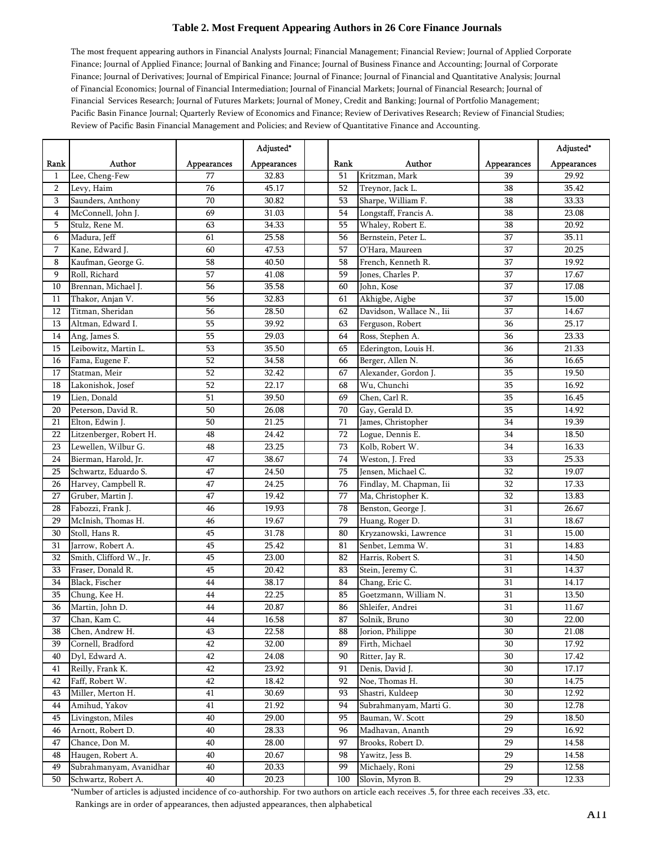The most frequent appearing authors in Financial Analysts Journal; Financial Management; Financial Review; Journal of Applied Corporate Finance; Journal of Applied Finance; Journal of Banking and Finance; Journal of Business Finance and Accounting; Journal of Corporate Finance; Journal of Derivatives; Journal of Empirical Finance; Journal of Finance; Journal of Financial and Quantitative Analysis; Journal of Financial Economics; Journal of Financial Intermediation; Journal of Financial Markets; Journal of Financial Research; Journal of Financial Services Research; Journal of Futures Markets; Journal of Money, Credit and Banking; Journal of Portfolio Management; Pacific Basin Finance Journal; Quarterly Review of Economics and Finance; Review of Derivatives Research; Review of Financial Studies; Review of Pacific Basin Financial Management and Policies; and Review of Quantitative Finance and Accounting.

|                 |                         |                 | Adjusted*   |      |                           |                 | Adjusted*   |
|-----------------|-------------------------|-----------------|-------------|------|---------------------------|-----------------|-------------|
| Rank            | Author                  | Appearances     | Appearances | Rank | Author                    | Appearances     | Appearances |
| $\mathbf{1}$    | Lee, Cheng-Few          | 77              | 32.83       | 51   | Kritzman, Mark            | 39              | 29.92       |
| $\overline{2}$  | Levy, Haim              | 76              | 45.17       | 52   | Treynor, Jack L.          | 38              | 35.42       |
| 3               | Saunders, Anthony       | 70              | 30.82       | 53   | Sharpe, William F.        | 38              | 33.33       |
| 4               | McConnell, John J.      | 69              | 31.03       | 54   | Longstaff, Francis A.     | 38              | 23.08       |
| 5               | Stulz, Rene M.          | 63              | 34.33       | 55   | Whaley, Robert E.         | 38              | 20.92       |
| 6               | Madura, Jeff            | 61              | 25.58       | 56   | Bernstein, Peter L.       | 37              | 35.11       |
| 7               | Kane, Edward J.         | 60              | 47.53       | 57   | O'Hara, Maureen           | 37              | 20.25       |
| 8               | Kaufman, George G.      | 58              | 40.50       | 58   | French, Kenneth R.        | 37              | 19.92       |
| 9               | Roll, Richard           | 57              | 41.08       | 59   | Jones, Charles P.         | 37              | 17.67       |
| 10              | Brennan, Michael J.     | 56              | 35.58       | 60   | John, Kose                | 37              | 17.08       |
| 11              | Thakor, Anjan V.        | 56              | 32.83       | 61   | Akhigbe, Aigbe            | 37              | 15.00       |
| 12              | Titman, Sheridan        | 56              | 28.50       | 62   | Davidson, Wallace N., Iii | 37              | 14.67       |
| 13              | Altman, Edward I.       | 55              | 39.92       | 63   | Ferguson, Robert          | 36              | 25.17       |
| 14              | Ang, James S.           | 55              | 29.03       | 64   | Ross, Stephen A.          | 36              | 23.33       |
| 15              | Leibowitz, Martin L.    | 53              | 35.50       | 65   | Ederington, Louis H.      | 36              | 21.33       |
| 16              | Fama, Eugene F.         | 52              | 34.58       | 66   | Berger, Allen N.          | 36              | 16.65       |
| 17              | Statman, Meir           | 52              | 32.42       | 67   | Alexander, Gordon J.      | 35              | 19.50       |
| 18              | Lakonishok, Josef       | 52              | 22.17       | 68   | Wu, Chunchi               | 35              | 16.92       |
| 19              | Lien, Donald            | 51              | 39.50       | 69   | Chen, Carl R.             | 35              | 16.45       |
| 20              | Peterson, David R.      | 50              | 26.08       | 70   | Gay, Gerald D.            | 35              | 14.92       |
| 21              | Elton, Edwin J.         | 50              | 21.25       | 71   | James, Christopher        | 34              | 19.39       |
| 22              | Litzenberger, Robert H. | 48              | 24.42       | 72   | Logue, Dennis E.          | 34              | 18.50       |
| 23              | Lewellen, Wilbur G.     | 48              | 23.25       | 73   | Kolb, Robert W.           | 34              | 16.33       |
| 24              | Bierman, Harold, Jr.    | 47              | 38.67       | 74   | Weston, J. Fred           | 33              | 25.33       |
| 25              | Schwartz, Eduardo S.    | 47              | 24.50       | 75   | Jensen, Michael C.        | 32              | 19.07       |
| 26              | Harvey, Campbell R.     | 47              | 24.25       | 76   | Findlay, M. Chapman, Iii  | 32              | 17.33       |
| 27              | Gruber, Martin J.       | 47              | 19.42       | 77   | Ma, Christopher K.        | 32              | 13.83       |
| 28              | Fabozzi, Frank J.       | 46              | 19.93       | 78   | Benston, George J.        | 31              | 26.67       |
| 29              | McInish, Thomas H.      | 46              | 19.67       | 79   | Huang, Roger D.           | 31              | 18.67       |
| 30              | Stoll, Hans R.          | 45              | 31.78       | 80   | Kryzanowski, Lawrence     | 31              | 15.00       |
| 31              | Jarrow, Robert A.       | 45              | 25.42       | 81   | Senbet, Lemma W.          | 31              | 14.83       |
| 32              | Smith, Clifford W., Jr. | 45              | 23.00       | 82   | Harris, Robert S.         | 31              | 14.50       |
| 33              | Fraser, Donald R.       | 45              | 20.42       | 83   | Stein, Jeremy C.          | 31              | 14.37       |
| 34              | Black, Fischer          | 44              | 38.17       | 84   | Chang, Eric C.            | 31              | 14.17       |
| 35              | Chung, Kee H.           | $\bf 44$        | 22.25       | 85   | Goetzmann, William N.     | 31              | 13.50       |
| 36              | Martin, John D.         | 44              | 20.87       | 86   | Shleifer, Andrei          | $\overline{31}$ | 11.67       |
| $\overline{37}$ | Chan, Kam C.            | $\overline{44}$ | 16.58       | 87   | Solnik, Bruno             | $\overline{30}$ | 22.00       |
| 38              | Chen, Andrew H.         | 43              | 22.58       | 88   | Jorion, Philippe          | 30              | 21.08       |
| 39              | Cornell, Bradford       | $42\,$          | 32.00       | 89   | Firth, Michael            | 30              | 17.92       |
| 40              | Dyl, Edward A.          | 42              | 24.08       | 90   | Ritter, Jay R.            | 30              | 17.42       |
| 41              | Reilly, Frank K.        | 42              | 23.92       | 91   | Denis, David J.           | 30              | 17.17       |
| 42              | Faff, Robert W.         | 42              | 18.42       | 92   | Noe, Thomas H.            | 30              | 14.75       |
| 43              | Miller, Merton H.       | 41              | 30.69       | 93   | Shastri, Kuldeep          | 30              | 12.92       |
| 44              | Amihud, Yakov           | 41              | 21.92       | 94   | Subrahmanyam, Marti G.    | 30              | 12.78       |
| 45              | Livingston, Miles       | 40              | 29.00       | 95   | Bauman, W. Scott          | 29              | 18.50       |
| 46              | Arnott, Robert D.       | 40              | 28.33       | 96   | Madhavan, Ananth          | 29              | 16.92       |
| 47              | Chance, Don M.          | 40              | 28.00       | 97   | Brooks, Robert D.         | 29              | 14.58       |
| 48              | Haugen, Robert A.       | 40              | 20.67       | 98   | Yawitz, Jess B.           | 29              | 14.58       |
| 49              | Subrahmanyam, Avanidhar | 40              | 20.33       | 99   | Michaely, Roni            | 29              | 12.58       |
| 50              | Schwartz, Robert A.     | 40              | 20.23       | 100  | Slovin, Myron B.          | 29              | 12.33       |

\*Number of articles is adjusted incidence of co-authorship. For two authors on article each receives .5, for three each receives .33, etc. Rankings are in order of appearances, then adjusted appearances, then alphabetical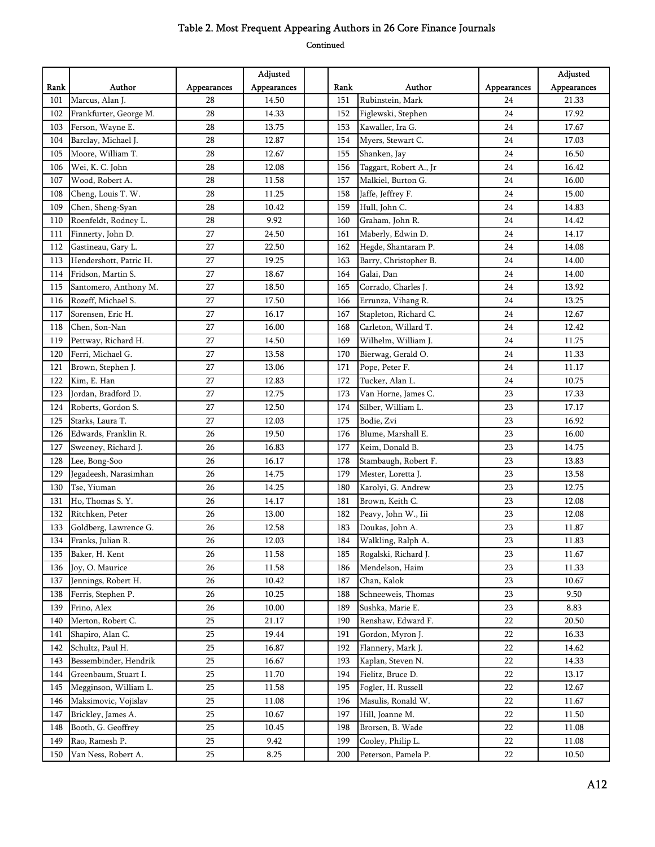|      |                        |             | Adjusted    |      |                        |             | Adjusted    |
|------|------------------------|-------------|-------------|------|------------------------|-------------|-------------|
| Rank | Author                 | Appearances | Appearances | Rank | Author                 | Appearances | Appearances |
| 101  | Marcus, Alan J.        | 28          | 14.50       | 151  | Rubinstein, Mark       | 24          | 21.33       |
| 102  | Frankfurter, George M. | 28          | 14.33       | 152  | Figlewski, Stephen     | 24          | 17.92       |
| 103  | Ferson, Wayne E.       | 28          | 13.75       | 153  | Kawaller, Ira G.       | 24          | 17.67       |
| 104  | Barclay, Michael J.    | 28          | 12.87       | 154  | Myers, Stewart C.      | 24          | 17.03       |
| 105  | Moore, William T.      | 28          | 12.67       | 155  | Shanken, Jay           | 24          | 16.50       |
| 106  | Wei, K. C. John        | 28          | 12.08       | 156  | Taggart, Robert A., Jr | 24          | 16.42       |
| 107  | Wood, Robert A.        | 28          | 11.58       | 157  | Malkiel, Burton G.     | 24          | 16.00       |
| 108  | Cheng, Louis T. W.     | 28          | 11.25       | 158  | Jaffe, Jeffrey F.      | 24          | 15.00       |
| 109  | Chen, Sheng-Syan       | 28          | 10.42       | 159  | Hull, John C.          | 24          | 14.83       |
| 110  | Roenfeldt, Rodney L.   | 28          | 9.92        | 160  | Graham, John R.        | 24          | 14.42       |
| 111  | Finnerty, John D.      | 27          | 24.50       | 161  | Maberly, Edwin D.      | 24          | 14.17       |
| 112  | Gastineau, Gary L.     | 27          | 22.50       | 162  | Hegde, Shantaram P.    | 24          | 14.08       |
| 113  | Hendershott, Patric H. | 27          | 19.25       | 163  | Barry, Christopher B.  | 24          | 14.00       |
| 114  | Fridson, Martin S.     | 27          | 18.67       | 164  | Galai, Dan             | 24          | 14.00       |
| 115  | Santomero, Anthony M.  | 27          | 18.50       | 165  | Corrado, Charles J.    | 24          | 13.92       |
| 116  | Rozeff, Michael S.     | 27          | 17.50       | 166  | Errunza, Vihang R.     | 24          | 13.25       |
| 117  | Sorensen, Eric H.      | 27          | 16.17       | 167  | Stapleton, Richard C.  | 24          | 12.67       |
| 118  | Chen, Son-Nan          | 27          | 16.00       | 168  | Carleton, Willard T.   | 24          | 12.42       |
| 119  | Pettway, Richard H.    | 27          | 14.50       | 169  | Wilhelm, William J.    | 24          | 11.75       |
| 120  | Ferri, Michael G.      | 27          | 13.58       | 170  | Bierwag, Gerald O.     | 24          | 11.33       |
| 121  | Brown, Stephen J.      | 27          | 13.06       | 171  | Pope, Peter F.         | 24          | 11.17       |
| 122  | Kim, E. Han            | 27          | 12.83       | 172  | Tucker, Alan L.        | 24          | 10.75       |
| 123  | Jordan, Bradford D.    | 27          | 12.75       | 173  | Van Horne, James C.    | 23          | 17.33       |
| 124  | Roberts, Gordon S.     | 27          | 12.50       | 174  | Silber, William L.     | 23          | 17.17       |
| 125  | Starks, Laura T.       | 27          | 12.03       | 175  | Bodie, Zvi             | 23          | 16.92       |
| 126  | Edwards, Franklin R.   | 26          | 19.50       | 176  | Blume, Marshall E.     | 23          | 16.00       |
| 127  | Sweeney, Richard J.    | 26          | 16.83       | 177  | Keim, Donald B.        | 23          | 14.75       |
| 128  | Lee, Bong-Soo          | 26          | 16.17       | 178  | Stambaugh, Robert F.   | 23          | 13.83       |
| 129  | Jegadeesh, Narasimhan  | 26          | 14.75       | 179  | Mester, Loretta J.     | 23          | 13.58       |
| 130  | Tse, Yiuman            | 26          | 14.25       | 180  | Karolyi, G. Andrew     | 23          | 12.75       |
| 131  | Ho, Thomas S.Y.        | 26          | 14.17       | 181  | Brown, Keith C.        | 23          | 12.08       |
| 132  | Ritchken, Peter        | 26          | 13.00       | 182  | Peavy, John W., Iii    | 23          | 12.08       |
| 133  | Goldberg, Lawrence G.  | 26          | 12.58       | 183  | Doukas, John A.        | 23          | 11.87       |
| 134  | Franks, Julian R.      | 26          | 12.03       | 184  | Walkling, Ralph A.     | 23          | 11.83       |
| 135  | Baker, H. Kent         | 26          | 11.58       | 185  | Rogalski, Richard J.   | 23          | 11.67       |
| 136  | Joy, O. Maurice        | 26          | 11.58       | 186  | Mendelson, Haim        | 23          | 11.33       |
| 137  | Jennings, Robert H.    | 26          | 10.42       | 187  | Chan, Kalok            | 23          | 10.67       |
| 138  | Ferris, Stephen P.     | 26          | 10.25       | 188  | Schneeweis, Thomas     | 23          | 9.50        |
| 139  | Frino, Alex            | 26          | 10.00       | 189  | Sushka, Marie E.       | 23          | 8.83        |
| 140  | Merton, Robert C.      | 25          | 21.17       | 190  | Renshaw, Edward F.     | 22          | 20.50       |
| 141  | Shapiro, Alan C.       | 25          | 19.44       | 191  | Gordon, Myron J.       | 22          | 16.33       |
| 142  | Schultz, Paul H.       | 25          | 16.87       | 192  | Flannery, Mark J.      | 22          | 14.62       |
| 143  | Bessembinder, Hendrik  | 25          | 16.67       | 193  | Kaplan, Steven N.      | 22          | 14.33       |
| 144  | Greenbaum, Stuart I.   | 25          | 11.70       | 194  | Fielitz, Bruce D.      | 22          | 13.17       |
| 145  | Megginson, William L.  | 25          | 11.58       | 195  | Fogler, H. Russell     | 22          | 12.67       |
| 146  | Maksimovic, Vojislav   | 25          | 11.08       | 196  | Masulis, Ronald W.     | 22          | 11.67       |
| 147  | Brickley, James A.     | 25          | 10.67       | 197  | Hill, Joanne M.        | 22          | 11.50       |
| 148  | Booth, G. Geoffrey     | 25          | 10.45       | 198  | Brorsen, B. Wade       | 22          | 11.08       |
| 149  | Rao, Ramesh P.         | 25          | 9.42        | 199  | Cooley, Philip L.      | 22          | 11.08       |
| 150  | Van Ness, Robert A.    | 25          | 8.25        | 200  | Peterson, Pamela P.    | 22          | 10.50       |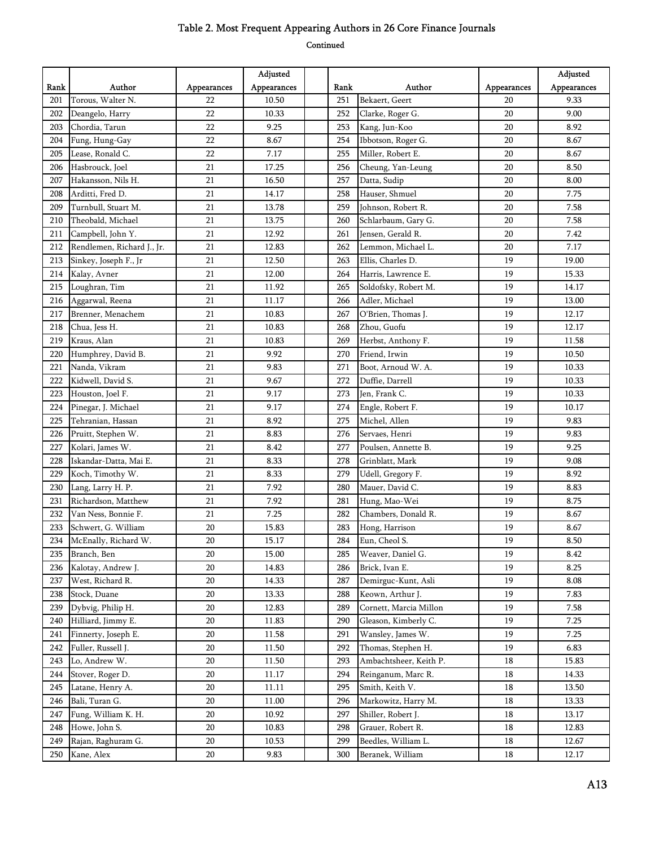|      |                            |             | Adjusted    |      |                        |             | Adjusted    |
|------|----------------------------|-------------|-------------|------|------------------------|-------------|-------------|
| Rank | Author                     | Appearances | Appearances | Rank | Author                 | Appearances | Appearances |
| 201  | Torous, Walter N.          | 22          | 10.50       | 251  | Bekaert, Geert         | 20          | 9.33        |
| 202  | Deangelo, Harry            | 22          | 10.33       | 252  | Clarke, Roger G.       | 20          | 9.00        |
| 203  | Chordia, Tarun             | 22          | 9.25        | 253  | Kang, Jun-Koo          | 20          | 8.92        |
| 204  | Fung, Hung-Gay             | 22          | 8.67        | 254  | Ibbotson, Roger G.     | 20          | 8.67        |
| 205  | Lease, Ronald C.           | 22          | 7.17        | 255  | Miller, Robert E.      | 20          | 8.67        |
| 206  | Hasbrouck, Joel            | 21          | 17.25       | 256  | Cheung, Yan-Leung      | 20          | 8.50        |
| 207  | Hakansson, Nils H.         | 21          | 16.50       | 257  | Datta, Sudip           | 20          | 8.00        |
| 208  | Arditti, Fred D.           | 21          | 14.17       | 258  | Hauser, Shmuel         | 20          | 7.75        |
| 209  | Turnbull, Stuart M.        | 21          | 13.78       | 259  | Johnson, Robert R.     | 20          | 7.58        |
| 210  | Theobald, Michael          | 21          | 13.75       | 260  | Schlarbaum, Gary G.    | 20          | 7.58        |
| 211  | Campbell, John Y.          | 21          | 12.92       | 261  | Jensen, Gerald R.      | 20          | 7.42        |
| 212  | Rendlemen, Richard J., Jr. | 21          | 12.83       | 262  | Lemmon, Michael L.     | 20          | 7.17        |
| 213  | Sinkey, Joseph F., Jr      | 21          | 12.50       | 263  | Ellis, Charles D.      | 19          | 19.00       |
| 214  | Kalay, Avner               | 21          | 12.00       | 264  | Harris, Lawrence E.    | 19          | 15.33       |
| 215  | Loughran, Tim              | 21          | 11.92       | 265  | Soldofsky, Robert M.   | 19          | 14.17       |
| 216  | Aggarwal, Reena            | 21          | 11.17       | 266  | Adler, Michael         | 19          | 13.00       |
| 217  | Brenner, Menachem          | 21          | 10.83       | 267  | O'Brien, Thomas J.     | 19          | 12.17       |
| 218  | Chua, Jess H.              | 21          | 10.83       | 268  | Zhou, Guofu            | 19          | 12.17       |
| 219  | Kraus, Alan                | 21          | 10.83       | 269  | Herbst, Anthony F.     | 19          | 11.58       |
| 220  | Humphrey, David B.         | 21          | 9.92        | 270  | Friend, Irwin          | 19          | 10.50       |
| 221  | Nanda, Vikram              | 21          | 9.83        | 271  | Boot, Arnoud W. A.     | 19          | 10.33       |
| 222  | Kidwell, David S.          | 21          | 9.67        | 272  | Duffie, Darrell        | 19          | 10.33       |
| 223  | Houston, Joel F.           | 21          | 9.17        | 273  | Jen, Frank C.          | 19          | 10.33       |
| 224  | Pinegar, J. Michael        | 21          | 9.17        | 274  | Engle, Robert F.       | 19          | 10.17       |
| 225  | Tehranian, Hassan          | 21          | 8.92        | 275  | Michel, Allen          | 19          | 9.83        |
| 226  | Pruitt, Stephen W.         | 21          | 8.83        | 276  | Servaes, Henri         | 19          | 9.83        |
| 227  | Kolari, James W.           | 21          | 8.42        | 277  | Poulsen, Annette B.    | 19          | 9.25        |
| 228  | Iskandar-Datta, Mai E.     | 21          | 8.33        | 278  | Grinblatt, Mark        | 19          | 9.08        |
| 229  | Koch, Timothy W.           | 21          | 8.33        | 279  | Udell, Gregory F.      | 19          | 8.92        |
| 230  | Lang, Larry H. P.          | 21          | 7.92        | 280  | Mauer, David C.        | 19          | 8.83        |
| 231  | Richardson, Matthew        | 21          | 7.92        | 281  | Hung, Mao-Wei          | 19          | 8.75        |
| 232  | Van Ness, Bonnie F.        | 21          | 7.25        | 282  | Chambers, Donald R.    | 19          | 8.67        |
| 233  | Schwert, G. William        | 20          | 15.83       | 283  | Hong, Harrison         | 19          | 8.67        |
| 234  | McEnally, Richard W.       | 20          | 15.17       | 284  | Eun, Cheol S.          | 19          | 8.50        |
| 235  | Branch, Ben                | 20          | 15.00       | 285  | Weaver, Daniel G.      | 19          | 8.42        |
| 236  | Kalotay, Andrew J.         | 20          | 14.83       | 286  | Brick, Ivan E.         | 19          | 8.25        |
| 237  | West, Richard R.           | 20          | 14.33       | 287  | Demirguc-Kunt, Asli    | 19          | 8.08        |
| 238  | Stock, Duane               | 20          | 13.33       | 288  | Keown, Arthur J.       | 19          | 7.83        |
| 239  | Dybvig, Philip H.          | 20          | 12.83       | 289  | Cornett, Marcia Millon | 19          | 7.58        |
| 240  | Hilliard, Jimmy E.         | 20          | 11.83       | 290  | Gleason, Kimberly C.   | 19          | 7.25        |
| 241  | Finnerty, Joseph E.        | $20\,$      | 11.58       | 291  | Wansley, James W.      | 19          | 7.25        |
| 242  | Fuller, Russell J.         | 20          | 11.50       | 292  | Thomas, Stephen H.     | 19          | 6.83        |
| 243  | Lo, Andrew W.              | 20          | 11.50       | 293  | Ambachtsheer, Keith P. | 18          | 15.83       |
| 244  | Stover, Roger D.           | 20          | 11.17       | 294  | Reinganum, Marc R.     | 18          | 14.33       |
| 245  | Latane, Henry A.           | 20          | 11.11       | 295  | Smith, Keith V.        | 18          | 13.50       |
| 246  | Bali, Turan G.             | 20          | 11.00       | 296  | Markowitz, Harry M.    | 18          | 13.33       |
| 247  | Fung, William K. H.        | 20          | 10.92       | 297  | Shiller, Robert J.     | 18          | 13.17       |
| 248  | Howe, John S.              | 20          | 10.83       | 298  | Grauer, Robert R.      | 18          | 12.83       |
| 249  | Rajan, Raghuram G.         | 20          | 10.53       | 299  | Beedles, William L.    | 18          | 12.67       |
| 250  | Kane, Alex                 | 20          | 9.83        | 300  | Beranek, William       | 18          | 12.17       |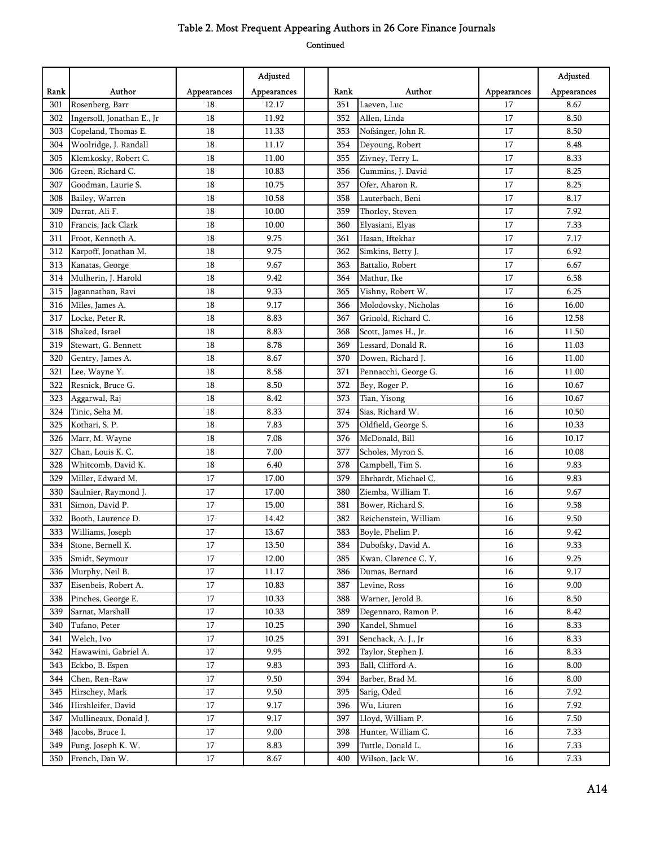|      |                            |             | Adjusted    |      |                       |             | Adjusted    |
|------|----------------------------|-------------|-------------|------|-----------------------|-------------|-------------|
| Rank | Author                     | Appearances | Appearances | Rank | Author                | Appearances | Appearances |
| 301  | Rosenberg, Barr            | 18          | 12.17       | 351  | Laeven, Luc           | 17          | 8.67        |
| 302  | Ingersoll, Jonathan E., Jr | 18          | 11.92       | 352  | Allen, Linda          | 17          | 8.50        |
| 303  | Copeland, Thomas E.        | 18          | 11.33       | 353  | Nofsinger, John R.    | 17          | 8.50        |
| 304  | Woolridge, J. Randall      | 18          | 11.17       | 354  | Deyoung, Robert       | 17          | 8.48        |
| 305  | Klemkosky, Robert C.       | 18          | 11.00       | 355  | Zivney, Terry L.      | 17          | 8.33        |
| 306  | Green, Richard C.          | 18          | 10.83       | 356  | Cummins, J. David     | 17          | 8.25        |
| 307  | Goodman, Laurie S.         | 18          | 10.75       | 357  | Ofer, Aharon R.       | 17          | 8.25        |
| 308  | Bailey, Warren             | 18          | 10.58       | 358  | Lauterbach, Beni      | 17          | 8.17        |
| 309  | Darrat, Ali F.             | 18          | 10.00       | 359  | Thorley, Steven       | 17          | 7.92        |
| 310  | Francis, Jack Clark        | 18          | 10.00       | 360  | Elyasiani, Elyas      | 17          | 7.33        |
| 311  | Froot, Kenneth A.          | 18          | 9.75        | 361  | Hasan, Iftekhar       | 17          | 7.17        |
| 312  | Karpoff, Jonathan M.       | 18          | 9.75        | 362  | Simkins, Betty J.     | 17          | 6.92        |
| 313  | Kanatas, George            | 18          | 9.67        | 363  | Battalio, Robert      | 17          | 6.67        |
| 314  | Mulherin, J. Harold        | 18          | 9.42        | 364  | Mathur, Ike           | 17          | 6.58        |
| 315  | Jagannathan, Ravi          | 18          | 9.33        | 365  | Vishny, Robert W.     | 17          | 6.25        |
| 316  | Miles, James A.            | 18          | 9.17        | 366  | Molodovsky, Nicholas  | 16          | 16.00       |
| 317  | Locke, Peter R.            | 18          | 8.83        | 367  | Grinold, Richard C.   | 16          | 12.58       |
| 318  | Shaked, Israel             | 18          | 8.83        | 368  | Scott, James H., Jr.  | 16          | 11.50       |
| 319  | Stewart, G. Bennett        | 18          | 8.78        | 369  | Lessard, Donald R.    | 16          | 11.03       |
| 320  | Gentry, James A.           | 18          | 8.67        | 370  | Dowen, Richard J.     | 16          | 11.00       |
| 321  | Lee, Wayne Y.              | 18          | 8.58        | 371  | Pennacchi, George G.  | 16          | 11.00       |
| 322  | Resnick, Bruce G.          | 18          | 8.50        | 372  | Bey, Roger P.         | 16          | 10.67       |
| 323  | Aggarwal, Raj              | 18          | 8.42        | 373  | Tian, Yisong          | 16          | 10.67       |
| 324  | Tinic, Seha M.             | 18          | 8.33        | 374  | Sias, Richard W.      | 16          | 10.50       |
| 325  | Kothari, S. P.             | 18          | 7.83        | 375  | Oldfield, George S.   | 16          | 10.33       |
| 326  | Marr, M. Wayne             | 18          | 7.08        | 376  | McDonald, Bill        | 16          | 10.17       |
| 327  | Chan, Louis K. C.          | 18          | 7.00        | 377  | Scholes, Myron S.     | 16          | 10.08       |
| 328  | Whitcomb, David K.         | 18          | 6.40        | 378  | Campbell, Tim S.      | 16          | 9.83        |
| 329  | Miller, Edward M.          | 17          | 17.00       | 379  | Ehrhardt, Michael C.  | 16          | 9.83        |
| 330  | Saulnier, Raymond J.       | 17          | 17.00       | 380  | Ziemba, William T.    | 16          | 9.67        |
| 331  | Simon, David P.            | 17          | 15.00       | 381  | Bower, Richard S.     | 16          | 9.58        |
| 332  | Booth, Laurence D.         | 17          | 14.42       | 382  | Reichenstein, William | 16          | 9.50        |
| 333  | Williams, Joseph           | 17          | 13.67       | 383  | Boyle, Phelim P.      | 16          | 9.42        |
| 334  | Stone, Bernell K.          | $17\,$      | 13.50       | 384  | Dubofsky, David A.    | $16\,$      | 9.33        |
| 335  | Smidt, Seymour             | 17          | 12.00       | 385  | Kwan, Clarence C. Y.  | 16          | 9.25        |
| 336  | Murphy, Neil B.            | 17          | 11.17       | 386  | Dumas, Bernard        | 16          | 9.17        |
| 337  | Eisenbeis, Robert A.       | 17          | 10.83       | 387  | Levine, Ross          | 16          | 9.00        |
| 338  | Pinches, George E.         | 17          | 10.33       | 388  | Warner, Jerold B.     | 16          | 8.50        |
| 339  | Sarnat, Marshall           | 17          | 10.33       | 389  | Degennaro, Ramon P.   | 16          | 8.42        |
| 340  | Tufano, Peter              | 17          | 10.25       | 390  | Kandel, Shmuel        | 16          | 8.33        |
| 341  | Welch, Ivo                 | 17          | 10.25       | 391  | Senchack, A. J., Jr   | 16          | 8.33        |
| 342  | Hawawini, Gabriel A.       | 17          | 9.95        | 392  | Taylor, Stephen J.    | 16          | 8.33        |
| 343  | Eckbo, B. Espen            | 17          | 9.83        | 393  | Ball, Clifford A.     | 16          | 8.00        |
| 344  | Chen, Ren-Raw              | 17          | 9.50        | 394  | Barber, Brad M.       | 16          | 8.00        |
| 345  | Hirschey, Mark             | 17          | 9.50        | 395  | Sarig, Oded           | 16          | 7.92        |
| 346  | Hirshleifer, David         | 17          | 9.17        | 396  | Wu, Liuren            | 16          | 7.92        |
| 347  | Mullineaux, Donald J.      | 17          | 9.17        | 397  | Lloyd, William P.     | 16          | 7.50        |
| 348  | Jacobs, Bruce I.           | 17          | 9.00        | 398  | Hunter, William C.    | 16          | 7.33        |
| 349  | Fung, Joseph K. W.         | 17          | 8.83        | 399  | Tuttle, Donald L.     | 16          | 7.33        |
| 350  | French, Dan W.             | 17          | 8.67        | 400  | Wilson, Jack W.       | 16          | 7.33        |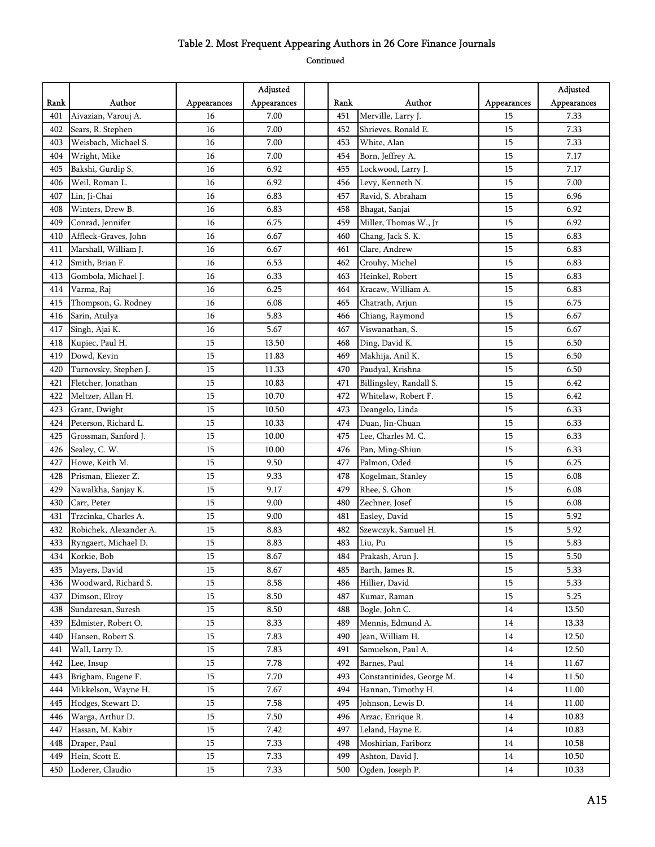|      |                        |             | Adjusted    |      |                           |             | Adjusted    |
|------|------------------------|-------------|-------------|------|---------------------------|-------------|-------------|
| Rank | Author                 | Appearances | Appearances | Rank | Author                    | Appearances | Appearances |
| 401  | Aivazian, Varouj A.    | 16          | 7.00        | 451  | Merville, Larry J.        | 15          | 7.33        |
| 402  | Sears, R. Stephen      | 16          | 7.00        | 452  | Shrieves, Ronald E.       | 15          | 7.33        |
| 403  | Weisbach, Michael S.   | 16          | 7.00        | 453  | White, Alan               | 15          | 7.33        |
| 404  | Wright, Mike           | 16          | 7.00        | 454  | Born, Jeffrey A.          | 15          | 7.17        |
| 405  | Bakshi, Gurdip S.      | 16          | 6.92        | 455  | Lockwood, Larry J.        | 15          | 7.17        |
| 406  | Weil, Roman L.         | 16          | 6.92        | 456  | Levy, Kenneth N.          | 15          | 7.00        |
| 407  | Lin, Ji-Chai           | 16          | 6.83        | 457  | Ravid, S. Abraham         | 15          | 6.96        |
| 408  | Winters, Drew B.       | 16          | 6.83        | 458  | Bhagat, Sanjai            | 15          | 6.92        |
| 409  | Conrad, Jennifer       | 16          | 6.75        | 459  | Miller, Thomas W., Jr     | 15          | 6.92        |
| 410  | Affleck-Graves, John   | 16          | 6.67        | 460  | Chang, Jack S. K.         | 15          | 6.83        |
| 411  | Marshall, William J.   | 16          | 6.67        | 461  | Clare, Andrew             | 15          | 6.83        |
| 412  | Smith, Brian F.        | 16          | 6.53        | 462  | Crouhy, Michel            | 15          | 6.83        |
| 413  | Gombola, Michael J.    | 16          | 6.33        | 463  | Heinkel, Robert           | 15          | 6.83        |
| 414  | Varma, Raj             | 16          | 6.25        | 464  | Kracaw, William A.        | 15          | 6.83        |
| 415  | Thompson, G. Rodney    | 16          | 6.08        | 465  | Chatrath, Arjun           | 15          | 6.75        |
| 416  | Sarin, Atulya          | 16          | 5.83        | 466  | Chiang, Raymond           | 15          | 6.67        |
| 417  | Singh, Ajai K.         | 16          | 5.67        | 467  | Viswanathan, S.           | 15          | 6.67        |
| 418  | Kupiec, Paul H.        | 15          | 13.50       | 468  | Ding, David K.            | 15          | 6.50        |
| 419  | Dowd, Kevin            | 15          | 11.83       | 469  | Makhija, Anil K.          | 15          | 6.50        |
| 420  | Turnovsky, Stephen J.  | 15          | 11.33       | 470  | Paudyal, Krishna          | 15          | 6.50        |
| 421  | Fletcher, Jonathan     | 15          | 10.83       | 471  | Billingsley, Randall S.   | 15          | 6.42        |
| 422  | Meltzer, Allan H.      | 15          | 10.70       | 472  | Whitelaw, Robert F.       | 15          | 6.42        |
| 423  | Grant, Dwight          | 15          | 10.50       | 473  | Deangelo, Linda           | 15          | 6.33        |
| 424  | Peterson, Richard L.   | 15          | 10.33       | 474  | Duan, Jin-Chuan           | 15          | 6.33        |
| 425  | Grossman, Sanford J.   | 15          | 10.00       | 475  | Lee, Charles M. C.        | 15          | 6.33        |
| 426  | Sealey, C. W.          | 15          | 10.00       | 476  | Pan, Ming-Shiun           | 15          | 6.33        |
| 427  | Howe, Keith M.         | 15          | 9.50        | 477  | Palmon, Oded              | 15          | 6.25        |
| 428  | Prisman, Eliezer Z.    | 15          | 9.33        | 478  | Kogelman, Stanley         | 15          | 6.08        |
| 429  | Nawalkha, Sanjay K.    | 15          | 9.17        | 479  | Rhee, S. Ghon             | 15          | 6.08        |
| 430  | Carr, Peter            | 15          | 9.00        | 480  | Zechner, Josef            | 15          | 6.08        |
| 431  | Trzcinka, Charles A.   | 15          | 9.00        | 481  | Easley, David             | 15          | 5.92        |
| 432  | Robichek, Alexander A. | 15          | 8.83        | 482  | Szewczyk, Samuel H.       | 15          | 5.92        |
| 433  | Ryngaert, Michael D.   | 15          | 8.83        | 483  | Liu, Pu                   | 15          | 5.83        |
| 434  | Korkie, Bob            | 15          | 8.67        | 484  | Prakash, Arun J.          | 15          | 5.50        |
| 435  | Mayers, David          | 15          | 8.67        | 485  | Barth, James R.           | 15          | 5.33        |
| 436  | Woodward, Richard S.   | 15          | 8.58        | 486  | Hillier, David            | 15          | 5.33        |
| 437  | Dimson, Elroy          | 15          | 8.50        | 487  | Kumar, Raman              | 15          | 5.25        |
| 438  | Sundaresan, Suresh     | 15          | 8.50        | 488  | Bogle, John C.            | 14          | 13.50       |
| 439  | Edmister, Robert O.    | 15          | 8.33        | 489  | Mennis, Edmund A.         | 14          | 13.33       |
| 440  | Hansen, Robert S.      | 15          | 7.83        | 490  | Jean, William H.          | 14          | 12.50       |
| 441  | Wall, Larry D.         | 15          | 7.83        | 491  | Samuelson, Paul A.        | 14          | 12.50       |
| 442  | Lee, Insup             | 15          | 7.78        | 492  | Barnes, Paul              | 14          | 11.67       |
| 443  | Brigham, Eugene F.     | 15          | 7.70        | 493  | Constantinides, George M. | 14          | 11.50       |
| 444  | Mikkelson, Wayne H.    | 15          | 7.67        | 494  | Hannan, Timothy H.        | 14          | 11.00       |
| 445  | Hodges, Stewart D.     | 15          | 7.58        | 495  | Johnson, Lewis D.         | 14          | 11.00       |
| 446  | Warga, Arthur D.       | 15          | 7.50        | 496  | Arzac, Enrique R.         | 14          | 10.83       |
| 447  | Hassan, M. Kabir       | 15          | 7.42        | 497  | Leland, Hayne E.          | 14          | 10.83       |
| 448  | Draper, Paul           | 15          | 7.33        | 498  | Moshirian, Fariborz       | 14          | 10.58       |
| 449  | Hein, Scott E.         | 15          | 7.33        | 499  | Ashton, David J.          | 14          | 10.50       |
| 450  | Loderer, Claudio       | 15          | 7.33        | 500  | Ogden, Joseph P.          | 14          | 10.33       |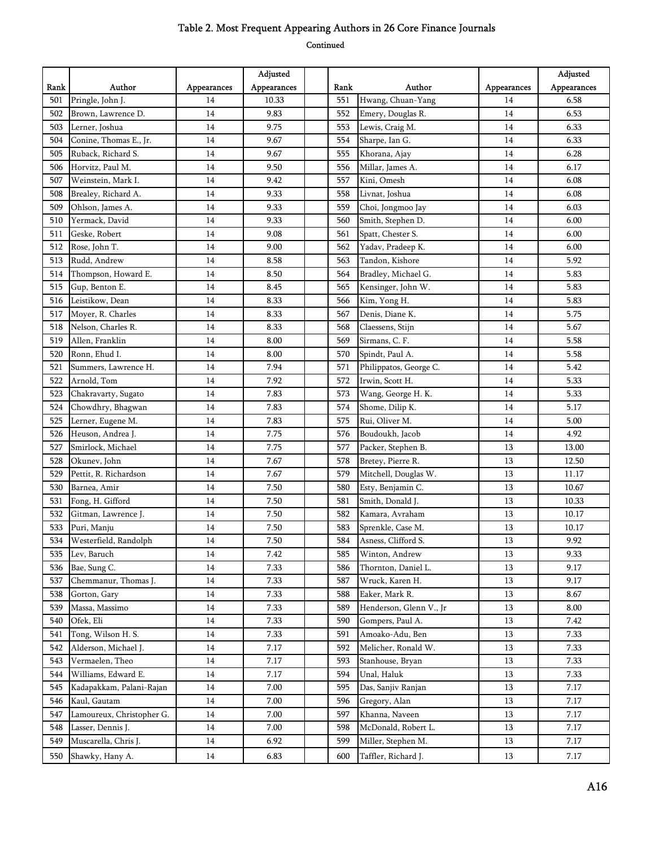|      |                           |             | Adjusted    |      |                         |             | Adjusted    |
|------|---------------------------|-------------|-------------|------|-------------------------|-------------|-------------|
| Rank | Author                    | Appearances | Appearances | Rank | Author                  | Appearances | Appearances |
| 501  | Pringle, John J.          | 14          | 10.33       | 551  | Hwang, Chuan-Yang       | 14          | 6.58        |
| 502  | Brown, Lawrence D.        | 14          | 9.83        | 552  | Emery, Douglas R.       | 14          | 6.53        |
| 503  | Lerner, Joshua            | 14          | 9.75        | 553  | Lewis, Craig M.         | 14          | 6.33        |
| 504  | Conine, Thomas E., Jr.    | 14          | 9.67        | 554  | Sharpe, Ian G.          | 14          | 6.33        |
| 505  | Ruback, Richard S.        | 14          | 9.67        | 555  | Khorana, Ajay           | 14          | 6.28        |
| 506  | Horvitz, Paul M.          | 14          | 9.50        | 556  | Millar, James A.        | 14          | 6.17        |
| 507  | Weinstein, Mark I.        | 14          | 9.42        | 557  | Kini, Omesh             | 14          | 6.08        |
| 508  | Brealey, Richard A.       | 14          | 9.33        | 558  | Livnat, Joshua          | 14          | 6.08        |
| 509  | Ohlson, James A.          | 14          | 9.33        | 559  | Choi, Jongmoo Jay       | 14          | 6.03        |
| 510  | Yermack, David            | 14          | 9.33        | 560  | Smith, Stephen D.       | 14          | 6.00        |
| 511  | Geske, Robert             | 14          | 9.08        | 561  | Spatt, Chester S.       | 14          | 6.00        |
| 512  | Rose, John T.             | 14          | 9.00        | 562  | Yadav, Pradeep K.       | 14          | 6.00        |
| 513  | Rudd, Andrew              | 14          | 8.58        | 563  | Tandon, Kishore         | 14          | 5.92        |
| 514  | Thompson, Howard E.       | 14          | 8.50        | 564  | Bradley, Michael G.     | 14          | 5.83        |
| 515  | Gup, Benton E.            | 14          | 8.45        | 565  | Kensinger, John W.      | 14          | 5.83        |
| 516  | Leistikow, Dean           | 14          | 8.33        | 566  | Kim, Yong H.            | 14          | 5.83        |
| 517  | Mover, R. Charles         | 14          | 8.33        | 567  | Denis, Diane K.         | 14          | 5.75        |
| 518  | Nelson, Charles R.        | 14          | 8.33        | 568  | Claessens, Stijn        | 14          | 5.67        |
| 519  | Allen, Franklin           | 14          | 8.00        | 569  | Sirmans, C. F.          | 14          | 5.58        |
| 520  | Ronn, Ehud I.             | 14          | 8.00        | 570  | Spindt, Paul A.         | 14          | 5.58        |
| 521  | Summers, Lawrence H.      | 14          | 7.94        | 571  | Philippatos, George C.  | 14          | 5.42        |
| 522  | Arnold, Tom               | 14          | 7.92        | 572  | Irwin, Scott H.         | 14          | 5.33        |
| 523  | Chakravarty, Sugato       | 14          | 7.83        | 573  | Wang, George H. K.      | 14          | 5.33        |
| 524  | Chowdhry, Bhagwan         | 14          | 7.83        | 574  | Shome, Dilip K.         | 14          | 5.17        |
| 525  | Lerner, Eugene M.         | 14          | 7.83        | 575  | Rui, Oliver M.          | 14          | 5.00        |
| 526  | Heuson, Andrea J.         | 14          | 7.75        | 576  | Boudoukh, Jacob         | 14          | 4.92        |
| 527  | Smirlock, Michael         | 14          | 7.75        | 577  | Packer, Stephen B.      | 13          | 13.00       |
| 528  | Okunev, John              | 14          | 7.67        | 578  | Bretey, Pierre R.       | 13          | 12.50       |
| 529  | Pettit, R. Richardson     | 14          | 7.67        | 579  | Mitchell, Douglas W.    | 13          | 11.17       |
| 530  | Barnea, Amir              | 14          | 7.50        | 580  | Esty, Benjamin C.       | 13          | 10.67       |
| 531  | Fong, H. Gifford          | 14          | 7.50        | 581  | Smith, Donald J.        | 13          | 10.33       |
| 532  | Gitman, Lawrence J.       | 14          | 7.50        | 582  | Kamara, Avraham         | 13          | 10.17       |
| 533  | Puri, Manju               | 14          | 7.50        | 583  | Sprenkle, Case M.       | 13          | 10.17       |
| 534  | Westerfield, Randolph     | 14          | 7.50        | 584  | Asness, Clifford S.     | 13          | 9.92        |
| 535  | Lev, Baruch               | 14          | 7.42        | 585  | Winton, Andrew          | 13          | 9.33        |
| 536  | Bae, Sung C.              | 14          | 7.33        | 586  | Thornton, Daniel L.     | 13          | 9.17        |
| 537  | Chemmanur, Thomas J.      | 14          | 7.33        | 587  | Wruck, Karen H.         | 13          | 9.17        |
| 538  | Gorton, Gary              | 14          | 7.33        | 588  | Eaker, Mark R.          | 13          | 8.67        |
| 539  | Massa, Massimo            | 14          | 7.33        | 589  | Henderson, Glenn V., Jr | 13          | 8.00        |
| 540  | Ofek, Eli                 | 14          | 7.33        | 590  | Gompers, Paul A.        | 13          | 7.42        |
| 541  | Tong, Wilson H. S.        | 14          | 7.33        | 591  | Amoako-Adu, Ben         | 13          | 7.33        |
| 542  | Alderson, Michael J.      | 14          | 7.17        | 592  | Melicher, Ronald W.     | 13          | 7.33        |
| 543  | Vermaelen, Theo           | 14          | 7.17        | 593  | Stanhouse, Bryan        | 13          | 7.33        |
| 544  | Williams, Edward E.       | 14          | 7.17        | 594  | Unal, Haluk             | 13          | 7.33        |
| 545  | Kadapakkam, Palani-Rajan  | 14          | 7.00        | 595  | Das, Sanjiv Ranjan      | 13          | 7.17        |
| 546  | Kaul, Gautam              | 14          | 7.00        | 596  | Gregory, Alan           | 13          | 7.17        |
| 547  | Lamoureux, Christopher G. | 14          | 7.00        | 597  | Khanna, Naveen          | 13          | 7.17        |
| 548  | Lasser, Dennis J.         | 14          | 7.00        | 598  | McDonald, Robert L.     | 13          | 7.17        |
| 549  | Muscarella, Chris J.      | 14          | 6.92        | 599  | Miller, Stephen M.      | 13          | 7.17        |
| 550  | Shawky, Hany A.           | 14          | 6.83        | 600  | Taffler, Richard J.     | 13          | 7.17        |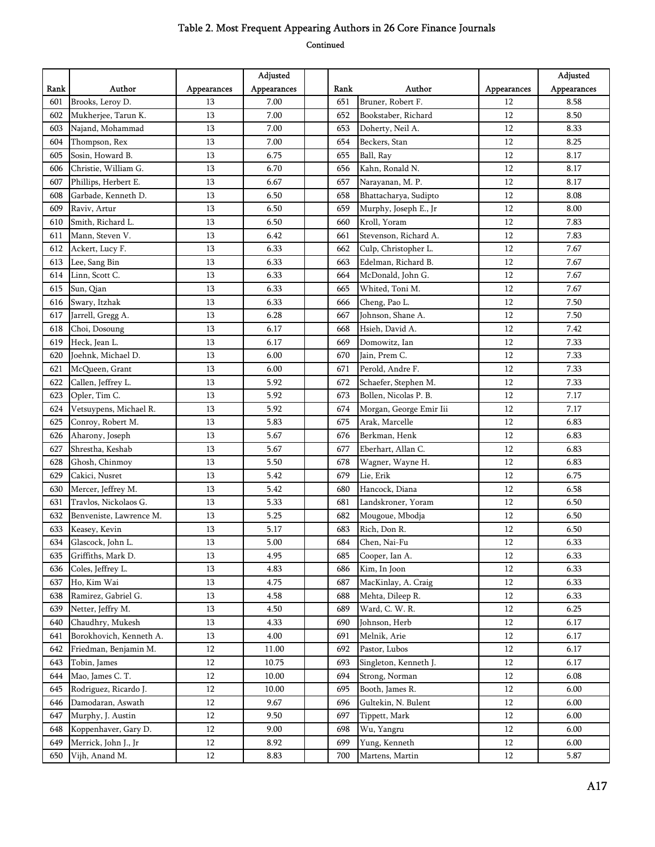|      |                         |             | Adjusted    |      |                         |             | Adjusted    |
|------|-------------------------|-------------|-------------|------|-------------------------|-------------|-------------|
| Rank | Author                  | Appearances | Appearances | Rank | Author                  | Appearances | Appearances |
| 601  | Brooks, Leroy D.        | 13          | 7.00        | 651  | Bruner, Robert F.       | 12          | 8.58        |
| 602  | Mukherjee, Tarun K.     | 13          | 7.00        | 652  | Bookstaber, Richard     | 12          | 8.50        |
| 603  | Najand, Mohammad        | 13          | 7.00        | 653  | Doherty, Neil A.        | 12          | 8.33        |
| 604  | Thompson, Rex           | 13          | 7.00        | 654  | Beckers, Stan           | 12          | 8.25        |
| 605  | Sosin, Howard B.        | 13          | 6.75        | 655  | Ball, Ray               | 12          | 8.17        |
| 606  | Christie, William G.    | 13          | 6.70        | 656  | Kahn, Ronald N.         | 12          | 8.17        |
| 607  | Phillips, Herbert E.    | 13          | 6.67        | 657  | Narayanan, M. P.        | 12          | 8.17        |
| 608  | Garbade, Kenneth D.     | 13          | 6.50        | 658  | Bhattacharya, Sudipto   | 12          | 8.08        |
| 609  | Raviv, Artur            | 13          | 6.50        | 659  | Murphy, Joseph E., Jr   | 12          | 8.00        |
| 610  | Smith, Richard L.       | 13          | 6.50        | 660  | Kroll, Yoram            | 12          | 7.83        |
| 611  | Mann, Steven V.         | 13          | 6.42        | 661  | Stevenson, Richard A.   | 12          | 7.83        |
| 612  | Ackert, Lucy F.         | 13          | 6.33        | 662  | Culp, Christopher L.    | 12          | 7.67        |
| 613  | Lee, Sang Bin           | 13          | 6.33        | 663  | Edelman, Richard B.     | 12          | 7.67        |
| 614  | Linn, Scott C.          | 13          | 6.33        | 664  | McDonald, John G.       | 12          | 7.67        |
| 615  | Sun, Qian               | 13          | 6.33        | 665  | Whited, Toni M.         | 12          | 7.67        |
| 616  | Swary, Itzhak           | 13          | 6.33        | 666  | Cheng, Pao L.           | 12          | 7.50        |
| 617  | Jarrell, Gregg A.       | 13          | 6.28        | 667  | Johnson, Shane A.       | 12          | 7.50        |
| 618  | Choi, Dosoung           | 13          | 6.17        | 668  | Hsieh, David A.         | 12          | 7.42        |
| 619  | Heck, Jean L.           | 13          | 6.17        | 669  | Domowitz, Ian           | 12          | 7.33        |
| 620  | Joehnk, Michael D.      | 13          | 6.00        | 670  | Jain, Prem C.           | 12          | 7.33        |
| 621  | McQueen, Grant          | 13          | 6.00        | 671  | Perold, Andre F.        | 12          | 7.33        |
| 622  | Callen, Jeffrey L.      | 13          | 5.92        | 672  | Schaefer, Stephen M.    | 12          | 7.33        |
| 623  | Opler, Tim C.           | 13          | 5.92        | 673  | Bollen, Nicolas P. B.   | 12          | 7.17        |
| 624  | Vetsuypens, Michael R.  | 13          | 5.92        | 674  | Morgan, George Emir Iii | 12          | 7.17        |
| 625  | Conroy, Robert M.       | 13          | 5.83        | 675  | Arak, Marcelle          | 12          | 6.83        |
| 626  | Aharony, Joseph         | 13          | 5.67        | 676  | Berkman, Henk           | 12          | 6.83        |
| 627  | Shrestha, Keshab        | 13          | 5.67        | 677  | Eberhart, Allan C.      | 12          | 6.83        |
| 628  | Ghosh, Chinmoy          | 13          | 5.50        | 678  | Wagner, Wayne H.        | 12          | 6.83        |
| 629  | Cakici, Nusret          | 13          | 5.42        | 679  | Lie, Erik               | 12          | 6.75        |
| 630  | Mercer, Jeffrey M.      | 13          | 5.42        | 680  | Hancock, Diana          | 12          | 6.58        |
| 631  | Travlos, Nickolaos G.   | 13          | 5.33        | 681  | Landskroner, Yoram      | 12          | 6.50        |
| 632  | Benveniste, Lawrence M. | 13          | 5.25        | 682  | Mougoue, Mbodja         | 12          | 6.50        |
| 633  | Keasey, Kevin           | 13          | 5.17        | 683  | Rich, Don R.            | 12          | 6.50        |
| 634  | Glascock, John L.       | 13          | 5.00        | 684  | Chen, Nai-Fu            | 12          | 6.33        |
| 635  | Griffiths, Mark D.      | 13          | 4.95        | 685  | Cooper, Ian A.          | 12          | 6.33        |
| 636  | Coles, Jeffrey L.       | 13          | 4.83        | 686  | Kim, In Joon            | 12          | 6.33        |
| 637  | Ho, Kim Wai             | 13          | 4.75        | 687  | MacKinlay, A. Craig     | 12          | 6.33        |
| 638  | Ramirez, Gabriel G.     | 13          | 4.58        | 688  | Mehta, Dileep R.        | 12          | 6.33        |
| 639  | Netter, Jeffry M.       | 13          | 4.50        | 689  | Ward, C. W. R.          | 12          | 6.25        |
| 640  | Chaudhry, Mukesh        | 13          | 4.33        | 690  | Johnson, Herb           | 12          | 6.17        |
| 641  | Borokhovich, Kenneth A. | 13          | 4.00        | 691  | Melnik, Arie            | 12          | 6.17        |
| 642  | Friedman, Benjamin M.   | 12          | 11.00       | 692  | Pastor, Lubos           | $12\,$      | 6.17        |
| 643  | Tobin, James            | 12          | 10.75       | 693  | Singleton, Kenneth J.   | 12          | 6.17        |
| 644  | Mao, James C. T.        | 12          | 10.00       | 694  | Strong, Norman          | 12          | 6.08        |
| 645  | Rodriguez, Ricardo J.   | 12          | 10.00       | 695  | Booth, James R.         | 12          | 6.00        |
| 646  | Damodaran, Aswath       | 12          | 9.67        | 696  | Gultekin, N. Bulent     | 12          | 6.00        |
| 647  | Murphy, J. Austin       | 12          | 9.50        | 697  | Tippett, Mark           | 12          | 6.00        |
| 648  | Koppenhaver, Gary D.    | 12          | 9.00        | 698  | Wu, Yangru              | 12          | 6.00        |
| 649  | Merrick, John J., Jr    | 12          | 8.92        | 699  | Yung, Kenneth           | 12          | 6.00        |
| 650  | Vijh, Anand M.          | 12          | 8.83        | 700  | Martens, Martin         | 12          | 5.87        |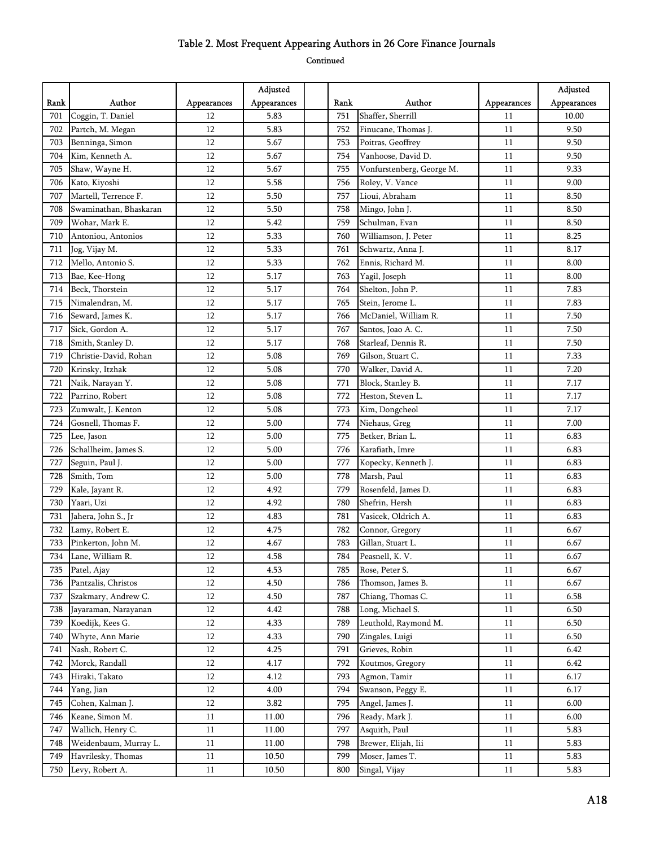|      |                        |             | Adjusted    |      |                           |             | Adjusted    |
|------|------------------------|-------------|-------------|------|---------------------------|-------------|-------------|
| Rank | Author                 | Appearances | Appearances | Rank | Author                    | Appearances | Appearances |
| 701  | Coggin, T. Daniel      | 12          | 5.83        | 751  | Shaffer, Sherrill         | 11          | 10.00       |
| 702  | Partch, M. Megan       | 12          | 5.83        | 752  | Finucane, Thomas J.       | 11          | 9.50        |
| 703  | Benninga, Simon        | 12          | 5.67        | 753  | Poitras, Geoffrey         | 11          | 9.50        |
| 704  | Kim, Kenneth A.        | 12          | 5.67        | 754  | Vanhoose, David D.        | 11          | 9.50        |
| 705  | Shaw, Wayne H.         | 12          | 5.67        | 755  | Vonfurstenberg, George M. | 11          | 9.33        |
| 706  | Kato, Kiyoshi          | 12          | 5.58        | 756  | Roley, V. Vance           | 11          | 9.00        |
| 707  | Martell, Terrence F.   | 12          | 5.50        | 757  | Lioui, Abraham            | 11          | 8.50        |
| 708  | Swaminathan, Bhaskaran | 12          | 5.50        | 758  | Mingo, John J.            | 11          | 8.50        |
| 709  | Wohar, Mark E.         | 12          | 5.42        | 759  | Schulman, Evan            | 11          | 8.50        |
| 710  | Antoniou, Antonios     | 12          | 5.33        | 760  | Williamson, J. Peter      | 11          | 8.25        |
| 711  | Jog, Vijay M.          | 12          | 5.33        | 761  | Schwartz, Anna J.         | 11          | 8.17        |
| 712  | Mello, Antonio S.      | 12          | 5.33        | 762  | Ennis, Richard M.         | 11          | 8.00        |
| 713  | Bae, Kee-Hong          | 12          | 5.17        | 763  | Yagil, Joseph             | 11          | 8.00        |
| 714  | Beck, Thorstein        | 12          | 5.17        | 764  | Shelton, John P.          | 11          | 7.83        |
| 715  | Nimalendran, M.        | 12          | 5.17        | 765  | Stein, Jerome L.          | 11          | 7.83        |
| 716  | Seward, James K.       | 12          | 5.17        | 766  | McDaniel, William R.      | 11          | 7.50        |
| 717  | Sick, Gordon A.        | 12          | 5.17        | 767  | Santos, Joao A. C.        | 11          | 7.50        |
| 718  | Smith, Stanley D.      | 12          | 5.17        | 768  | Starleaf, Dennis R.       | 11          | 7.50        |
| 719  | Christie-David, Rohan  | 12          | 5.08        | 769  | Gilson, Stuart C.         | 11          | 7.33        |
| 720  | Krinsky, Itzhak        | 12          | 5.08        | 770  | Walker, David A.          | 11          | 7.20        |
| 721  | Naik, Narayan Y.       | 12          | 5.08        | 771  | Block, Stanley B.         | 11          | 7.17        |
| 722  | Parrino, Robert        | 12          | 5.08        | 772  | Heston, Steven L.         | 11          | 7.17        |
| 723  | Zumwalt, J. Kenton     | 12          | 5.08        | 773  | Kim, Dongcheol            | 11          | 7.17        |
| 724  | Gosnell, Thomas F.     | 12          | 5.00        | 774  | Niehaus, Greg             | 11          | 7.00        |
| 725  | Lee, Jason             | 12          | 5.00        | 775  | Betker, Brian L.          | 11          | 6.83        |
| 726  | Schallheim, James S.   | 12          | 5.00        | 776  | Karafiath, Imre           | 11          | 6.83        |
| 727  | Seguin, Paul J.        | 12          | 5.00        | 777  | Kopecky, Kenneth J.       | 11          | 6.83        |
| 728  | Smith, Tom             | 12          | 5.00        | 778  | Marsh, Paul               | 11          | 6.83        |
| 729  | Kale, Jayant R.        | 12          | 4.92        | 779  | Rosenfeld, James D.       | 11          | 6.83        |
| 730  | Yaari, Uzi             | 12          | 4.92        | 780  | Shefrin, Hersh            | 11          | 6.83        |
| 731  | Jahera, John S., Jr    | 12          | 4.83        | 781  | Vasicek, Oldrich A.       | 11          | 6.83        |
| 732  | Lamy, Robert E.        | 12          | 4.75        | 782  | Connor, Gregory           | 11          | 6.67        |
| 733  | Pinkerton, John M.     | 12          | 4.67        | 783  | Gillan, Stuart L.         | 11          | 6.67        |
| 734  | Lane, William R.       | 12          | 4.58        | 784  | Peasnell, K. V.           | 11          | 6.67        |
| 735  | Patel, Ajay            | 12          | 4.53        | 785  | Rose, Peter S.            | 11          | 6.67        |
| 736  | Pantzalis, Christos    | $12\,$      | 4.50        | 786  | Thomson, James B.         | 11          | 6.67        |
| 737  | Szakmary, Andrew C.    | 12          | 4.50        | 787  | Chiang, Thomas C.         | 11          | 6.58        |
| 738  | Jayaraman, Narayanan   | 12          | 4.42        | 788  | Long, Michael S.          | 11          | 6.50        |
| 739  | Koedijk, Kees G.       | 12          | 4.33        | 789  | Leuthold, Raymond M.      | 11          | 6.50        |
| 740  | Whyte, Ann Marie       | 12          | 4.33        | 790  | Zingales, Luigi           | 11          | 6.50        |
| 741  | Nash, Robert C.        | 12          | 4.25        | 791  | Grieves, Robin            | 11          | 6.42        |
| 742  | Morck, Randall         | 12          | 4.17        | 792  | Koutmos, Gregory          | 11          | 6.42        |
| 743  | Hiraki, Takato         | 12          | 4.12        | 793  | Agmon, Tamir              | 11          | 6.17        |
| 744  | Yang, Jian             | 12          | 4.00        | 794  | Swanson, Peggy E.         | 11          | 6.17        |
| 745  | Cohen, Kalman J.       | 12          | 3.82        | 795  | Angel, James J.           | 11          | 6.00        |
| 746  | Keane, Simon M.        | 11          | 11.00       | 796  | Ready, Mark J.            | 11          | 6.00        |
| 747  | Wallich, Henry C.      | 11          | 11.00       | 797  | Asquith, Paul             | 11          | 5.83        |
| 748  | Weidenbaum, Murray L.  | 11          | 11.00       | 798  | Brewer, Elijah, Iii       | 11          | 5.83        |
| 749  | Havrilesky, Thomas     | $11\,$      | 10.50       | 799  | Moser, James T.           | 11          | 5.83        |
| 750  | Levy, Robert A.        | 11          | 10.50       | 800  | Singal, Vijay             | 11          | 5.83        |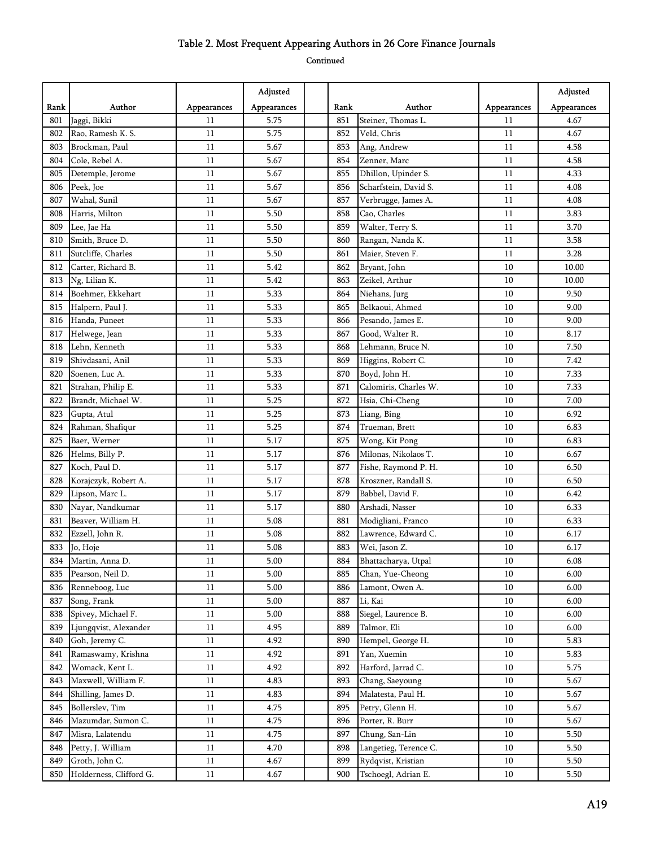|      |                         |             | Adjusted    |      |                       |             | Adjusted    |
|------|-------------------------|-------------|-------------|------|-----------------------|-------------|-------------|
| Rank | Author                  | Appearances | Appearances | Rank | Author                | Appearances | Appearances |
| 801  | Jaggi, Bikki            | 11          | 5.75        | 851  | Steiner, Thomas L.    | 11          | 4.67        |
| 802  | Rao, Ramesh K. S.       | 11          | 5.75        | 852  | Veld, Chris           | 11          | 4.67        |
| 803  | Brockman, Paul          | 11          | 5.67        | 853  | Ang, Andrew           | 11          | 4.58        |
| 804  | Cole, Rebel A.          | 11          | 5.67        | 854  | Zenner, Marc          | 11          | 4.58        |
| 805  | Detemple, Jerome        | 11          | 5.67        | 855  | Dhillon, Upinder S.   | 11          | 4.33        |
| 806  | Peek, Joe               | 11          | 5.67        | 856  | Scharfstein, David S. | 11          | 4.08        |
| 807  | Wahal, Sunil            | 11          | 5.67        | 857  | Verbrugge, James A.   | 11          | 4.08        |
| 808  | Harris, Milton          | 11          | 5.50        | 858  | Cao, Charles          | 11          | 3.83        |
| 809  | Lee, Jae Ha             | 11          | 5.50        | 859  | Walter, Terry S.      | 11          | 3.70        |
| 810  | Smith, Bruce D.         | 11          | 5.50        | 860  | Rangan, Nanda K.      | 11          | 3.58        |
| 811  | Sutcliffe, Charles      | 11          | 5.50        | 861  | Maier, Steven F.      | 11          | 3.28        |
| 812  | Carter, Richard B.      | 11          | 5.42        | 862  | Bryant, John          | 10          | 10.00       |
| 813  | Ng, Lilian K.           | 11          | 5.42        | 863  | Zeikel, Arthur        | 10          | 10.00       |
| 814  | Boehmer, Ekkehart       | 11          | 5.33        | 864  | Niehans, Jurg         | 10          | 9.50        |
| 815  | Halpern, Paul J.        | 11          | 5.33        | 865  | Belkaoui, Ahmed       | 10          | 9.00        |
| 816  | Handa, Puneet           | 11          | 5.33        | 866  | Pesando, James E.     | 10          | 9.00        |
| 817  | Helwege, Jean           | 11          | 5.33        | 867  | Good, Walter R.       | 10          | 8.17        |
| 818  | Lehn, Kenneth           | 11          | 5.33        | 868  | Lehmann, Bruce N.     | 10          | 7.50        |
| 819  | Shivdasani, Anil        | 11          | 5.33        | 869  | Higgins, Robert C.    | 10          | 7.42        |
| 820  | Soenen, Luc A.          | 11          | 5.33        | 870  | Boyd, John H.         | 10          | 7.33        |
| 821  | Strahan, Philip E.      | 11          | 5.33        | 871  | Calomiris, Charles W. | 10          | 7.33        |
| 822  | Brandt, Michael W.      | 11          | 5.25        | 872  | Hsia, Chi-Cheng       | 10          | 7.00        |
| 823  | Gupta, Atul             | 11          | 5.25        | 873  | Liang, Bing           | 10          | 6.92        |
| 824  | Rahman, Shafiqur        | 11          | 5.25        | 874  | Trueman, Brett        | 10          | 6.83        |
| 825  | Baer, Werner            | 11          | 5.17        | 875  | Wong, Kit Pong        | 10          | 6.83        |
| 826  | Helms, Billy P.         | 11          | 5.17        | 876  | Milonas, Nikolaos T.  | 10          | 6.67        |
| 827  | Koch, Paul D.           | 11          | 5.17        | 877  | Fishe, Raymond P. H.  | 10          | 6.50        |
| 828  | Korajczyk, Robert A.    | 11          | 5.17        | 878  | Kroszner, Randall S.  | 10          | 6.50        |
| 829  | Lipson, Marc L.         | 11          | 5.17        | 879  | Babbel, David F.      | 10          | 6.42        |
| 830  | Nayar, Nandkumar        | 11          | 5.17        | 880  | Arshadi, Nasser       | 10          | 6.33        |
| 831  | Beaver, William H.      | 11          | 5.08        | 881  | Modigliani, Franco    | 10          | 6.33        |
| 832  | Ezzell, John R.         | 11          | 5.08        | 882  | Lawrence, Edward C.   | 10          | 6.17        |
| 833  | Jo, Hoje                | 11          | 5.08        | 883  | Wei, Jason Z.         | 10          | 6.17        |
| 834  | Martin, Anna D.         | 11          | 5.00        | 884  | Bhattacharya, Utpal   | $10\,$      | 6.08        |
| 835  | Pearson, Neil D.        | 11          | 5.00        | 885  | Chan, Yue-Cheong      | 10          | 6.00        |
| 836  | Renneboog, Luc          | 11          | 5.00        | 886  | Lamont, Owen A.       | 10          | 6.00        |
| 837  | Song, Frank             | 11          | 5.00        | 887  | Li, Kai               | 10          | 6.00        |
| 838  | Spivey, Michael F.      | 11          | 5.00        | 888  | Siegel, Laurence B.   | 10          | 6.00        |
| 839  | Ljungqvist, Alexander   | 11          | 4.95        | 889  | Talmor, Eli           | 10          | 6.00        |
| 840  | Goh, Jeremy C.          | 11          | 4.92        | 890  | Hempel, George H.     | 10          | 5.83        |
| 841  | Ramaswamy, Krishna      | 11          | 4.92        | 891  | Yan, Xuemin           | 10          | 5.83        |
| 842  | Womack, Kent L.         | 11          | 4.92        | 892  | Harford, Jarrad C.    | 10          | 5.75        |
| 843  | Maxwell, William F.     | 11          | 4.83        | 893  | Chang, Saeyoung       | 10          | 5.67        |
| 844  | Shilling, James D.      | 11          | 4.83        | 894  | Malatesta, Paul H.    | 10          | 5.67        |
| 845  | Bollerslev, Tim         | 11          | 4.75        | 895  | Petry, Glenn H.       | 10          | 5.67        |
| 846  | Mazumdar, Sumon C.      | 11          | 4.75        | 896  | Porter, R. Burr       | 10          | 5.67        |
| 847  | Misra, Lalatendu        | 11          | 4.75        | 897  | Chung, San-Lin        | 10          | 5.50        |
| 848  | Petty, J. William       | 11          | 4.70        | 898  | Langetieg, Terence C. | 10          | 5.50        |
| 849  | Groth, John C.          | 11          | 4.67        | 899  | Rydqvist, Kristian    | $10\,$      | 5.50        |
| 850  | Holderness, Clifford G. | 11          | 4.67        | 900  | Tschoegl, Adrian E.   | 10          | 5.50        |